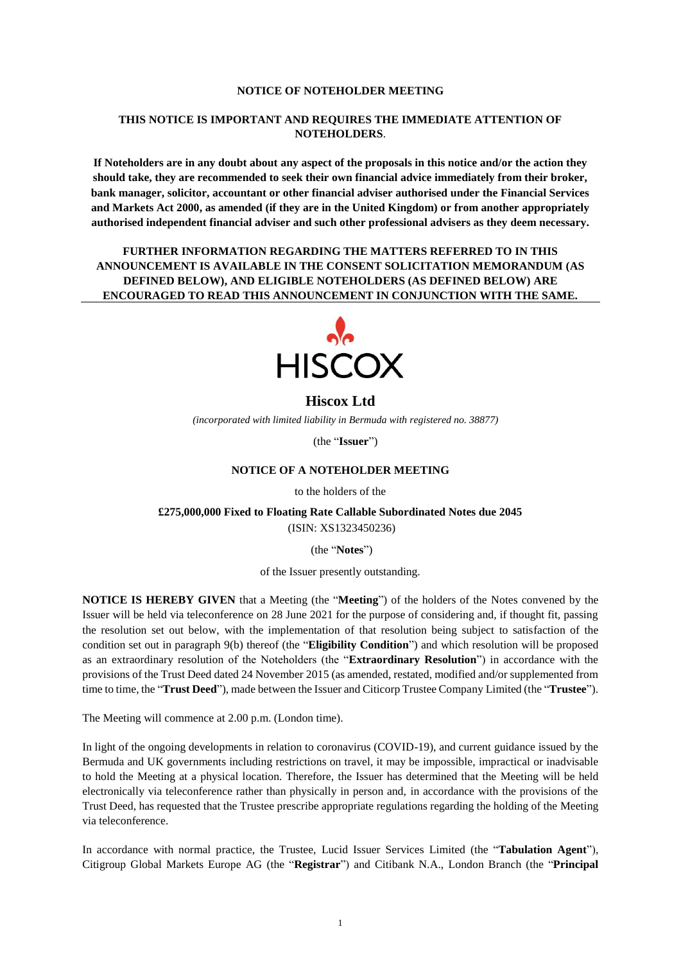#### **NOTICE OF NOTEHOLDER MEETING**

### **THIS NOTICE IS IMPORTANT AND REQUIRES THE IMMEDIATE ATTENTION OF NOTEHOLDERS**.

**If Noteholders are in any doubt about any aspect of the proposals in this notice and/or the action they should take, they are recommended to seek their own financial advice immediately from their broker, bank manager, solicitor, accountant or other financial adviser authorised under the Financial Services and Markets Act 2000, as amended (if they are in the United Kingdom) or from another appropriately authorised independent financial adviser and such other professional advisers as they deem necessary.**

**FURTHER INFORMATION REGARDING THE MATTERS REFERRED TO IN THIS ANNOUNCEMENT IS AVAILABLE IN THE CONSENT SOLICITATION MEMORANDUM (AS DEFINED BELOW), AND ELIGIBLE NOTEHOLDERS (AS DEFINED BELOW) ARE ENCOURAGED TO READ THIS ANNOUNCEMENT IN CONJUNCTION WITH THE SAME.**



### **Hiscox Ltd**

*(incorporated with limited liability in Bermuda with registered no. 38877)*

(the "**Issuer**")

### **NOTICE OF A NOTEHOLDER MEETING**

to the holders of the

**£275,000,000 Fixed to Floating Rate Callable Subordinated Notes due 2045** (ISIN: XS1323450236)

(the "**Notes**")

of the Issuer presently outstanding.

**NOTICE IS HEREBY GIVEN** that a Meeting (the "**Meeting**") of the holders of the Notes convened by the Issuer will be held via teleconference on 28 June 2021 for the purpose of considering and, if thought fit, passing the resolution set out below, with the implementation of that resolution being subject to satisfaction of the condition set out in paragraph 9(b) thereof (the "**Eligibility Condition**") and which resolution will be proposed as an extraordinary resolution of the Noteholders (the "**Extraordinary Resolution**") in accordance with the provisions of the Trust Deed dated 24 November 2015 (as amended, restated, modified and/or supplemented from time to time, the "**Trust Deed**"), made between the Issuer and Citicorp Trustee Company Limited (the "**Trustee**").

The Meeting will commence at 2.00 p.m. (London time).

In light of the ongoing developments in relation to coronavirus (COVID-19), and current guidance issued by the Bermuda and UK governments including restrictions on travel, it may be impossible, impractical or inadvisable to hold the Meeting at a physical location. Therefore, the Issuer has determined that the Meeting will be held electronically via teleconference rather than physically in person and, in accordance with the provisions of the Trust Deed, has requested that the Trustee prescribe appropriate regulations regarding the holding of the Meeting via teleconference.

In accordance with normal practice, the Trustee, Lucid Issuer Services Limited (the "**Tabulation Agent**"), Citigroup Global Markets Europe AG (the "**Registrar**") and Citibank N.A., London Branch (the "**Principal**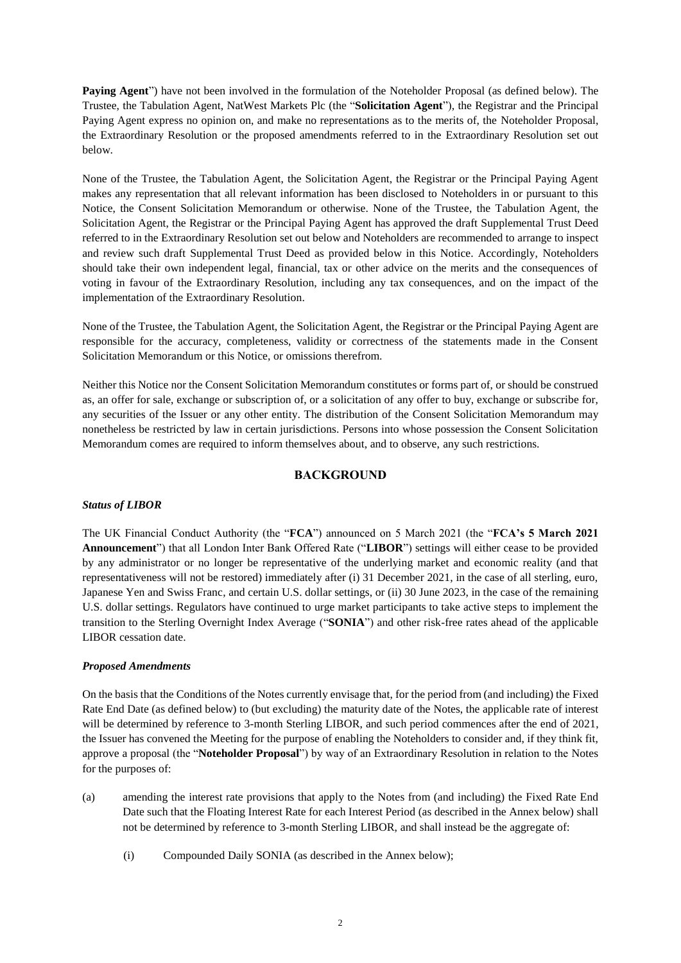**Paying Agent**") have not been involved in the formulation of the Noteholder Proposal (as defined below). The Trustee, the Tabulation Agent, NatWest Markets Plc (the "**Solicitation Agent**"), the Registrar and the Principal Paying Agent express no opinion on, and make no representations as to the merits of, the Noteholder Proposal, the Extraordinary Resolution or the proposed amendments referred to in the Extraordinary Resolution set out below.

None of the Trustee, the Tabulation Agent, the Solicitation Agent, the Registrar or the Principal Paying Agent makes any representation that all relevant information has been disclosed to Noteholders in or pursuant to this Notice, the Consent Solicitation Memorandum or otherwise. None of the Trustee, the Tabulation Agent, the Solicitation Agent, the Registrar or the Principal Paying Agent has approved the draft Supplemental Trust Deed referred to in the Extraordinary Resolution set out below and Noteholders are recommended to arrange to inspect and review such draft Supplemental Trust Deed as provided below in this Notice. Accordingly, Noteholders should take their own independent legal, financial, tax or other advice on the merits and the consequences of voting in favour of the Extraordinary Resolution, including any tax consequences, and on the impact of the implementation of the Extraordinary Resolution.

None of the Trustee, the Tabulation Agent, the Solicitation Agent, the Registrar or the Principal Paying Agent are responsible for the accuracy, completeness, validity or correctness of the statements made in the Consent Solicitation Memorandum or this Notice, or omissions therefrom.

Neither this Notice nor the Consent Solicitation Memorandum constitutes or forms part of, or should be construed as, an offer for sale, exchange or subscription of, or a solicitation of any offer to buy, exchange or subscribe for, any securities of the Issuer or any other entity. The distribution of the Consent Solicitation Memorandum may nonetheless be restricted by law in certain jurisdictions. Persons into whose possession the Consent Solicitation Memorandum comes are required to inform themselves about, and to observe, any such restrictions.

### **BACKGROUND**

### *Status of LIBOR*

The UK Financial Conduct Authority (the "**FCA**") announced on 5 March 2021 (the "**FCA's 5 March 2021 Announcement**") that all London Inter Bank Offered Rate ("**LIBOR**") settings will either cease to be provided by any administrator or no longer be representative of the underlying market and economic reality (and that representativeness will not be restored) immediately after (i) 31 December 2021, in the case of all sterling, euro, Japanese Yen and Swiss Franc, and certain U.S. dollar settings, or (ii) 30 June 2023, in the case of the remaining U.S. dollar settings. Regulators have continued to urge market participants to take active steps to implement the transition to the Sterling Overnight Index Average ("**SONIA**") and other risk-free rates ahead of the applicable LIBOR cessation date.

### *Proposed Amendments*

On the basis that the Conditions of the Notes currently envisage that, for the period from (and including) the Fixed Rate End Date (as defined below) to (but excluding) the maturity date of the Notes, the applicable rate of interest will be determined by reference to 3-month Sterling LIBOR, and such period commences after the end of 2021, the Issuer has convened the Meeting for the purpose of enabling the Noteholders to consider and, if they think fit, approve a proposal (the "**Noteholder Proposal**") by way of an Extraordinary Resolution in relation to the Notes for the purposes of:

- (a) amending the interest rate provisions that apply to the Notes from (and including) the Fixed Rate End Date such that the Floating Interest Rate for each Interest Period (as described in the Annex below) shall not be determined by reference to 3-month Sterling LIBOR, and shall instead be the aggregate of:
	- (i) Compounded Daily SONIA (as described in the Annex below);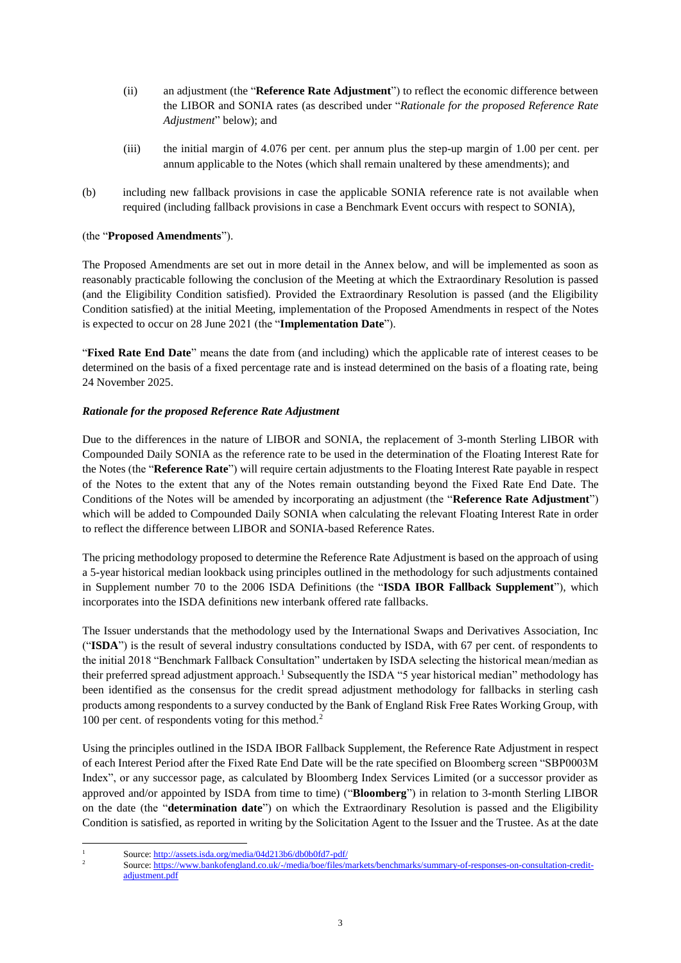- (ii) an adjustment (the "**Reference Rate Adjustment**") to reflect the economic difference between the LIBOR and SONIA rates (as described under "*Rationale for the proposed Reference Rate Adjustment*" below); and
- (iii) the initial margin of 4.076 per cent. per annum plus the step-up margin of 1.00 per cent. per annum applicable to the Notes (which shall remain unaltered by these amendments); and
- (b) including new fallback provisions in case the applicable SONIA reference rate is not available when required (including fallback provisions in case a Benchmark Event occurs with respect to SONIA),

### (the "**Proposed Amendments**").

The Proposed Amendments are set out in more detail in the Annex below, and will be implemented as soon as reasonably practicable following the conclusion of the Meeting at which the Extraordinary Resolution is passed (and the Eligibility Condition satisfied). Provided the Extraordinary Resolution is passed (and the Eligibility Condition satisfied) at the initial Meeting, implementation of the Proposed Amendments in respect of the Notes is expected to occur on 28 June 2021 (the "**Implementation Date**").

"**Fixed Rate End Date**" means the date from (and including) which the applicable rate of interest ceases to be determined on the basis of a fixed percentage rate and is instead determined on the basis of a floating rate, being 24 November 2025.

### *Rationale for the proposed Reference Rate Adjustment*

Due to the differences in the nature of LIBOR and SONIA, the replacement of 3-month Sterling LIBOR with Compounded Daily SONIA as the reference rate to be used in the determination of the Floating Interest Rate for the Notes (the "**Reference Rate**") will require certain adjustments to the Floating Interest Rate payable in respect of the Notes to the extent that any of the Notes remain outstanding beyond the Fixed Rate End Date. The Conditions of the Notes will be amended by incorporating an adjustment (the "**Reference Rate Adjustment**") which will be added to Compounded Daily SONIA when calculating the relevant Floating Interest Rate in order to reflect the difference between LIBOR and SONIA-based Reference Rates.

The pricing methodology proposed to determine the Reference Rate Adjustment is based on the approach of using a 5-year historical median lookback using principles outlined in the methodology for such adjustments contained in Supplement number 70 to the 2006 ISDA Definitions (the "**ISDA IBOR Fallback Supplement**"), which incorporates into the ISDA definitions new interbank offered rate fallbacks.

The Issuer understands that the methodology used by the International Swaps and Derivatives Association, Inc ("**ISDA**") is the result of several industry consultations conducted by ISDA, with 67 per cent. of respondents to the initial 2018 "Benchmark Fallback Consultation" undertaken by ISDA selecting the historical mean/median as their preferred spread adjustment approach.<sup>1</sup> Subsequently the ISDA "5 year historical median" methodology has been identified as the consensus for the credit spread adjustment methodology for fallbacks in sterling cash products among respondents to a survey conducted by the Bank of England Risk Free Rates Working Group, with 100 per cent. of respondents voting for this method.<sup>2</sup>

Using the principles outlined in the ISDA IBOR Fallback Supplement, the Reference Rate Adjustment in respect of each Interest Period after the Fixed Rate End Date will be the rate specified on Bloomberg screen "SBP0003M Index", or any successor page, as calculated by Bloomberg Index Services Limited (or a successor provider as approved and/or appointed by ISDA from time to time) ("**Bloomberg**") in relation to 3-month Sterling LIBOR on the date (the "**determination date**") on which the Extraordinary Resolution is passed and the Eligibility Condition is satisfied, as reported in writing by the Solicitation Agent to the Issuer and the Trustee. As at the date

<sup>-</sup>

<sup>1</sup> Source[: http://assets.isda.org/media/04d213b6/db0b0fd7-pdf/](http://assets.isda.org/media/04d213b6/db0b0fd7-pdf/) 

<sup>2</sup> Source[: https://www.bankofengland.co.uk/-/media/boe/files/markets/benchmarks/summary-of-responses-on-consultation-credit](https://www.bankofengland.co.uk/-/media/boe/files/markets/benchmarks/summary-of-responses-on-consultation-credit-adjustment.pdf)adjustment.pdf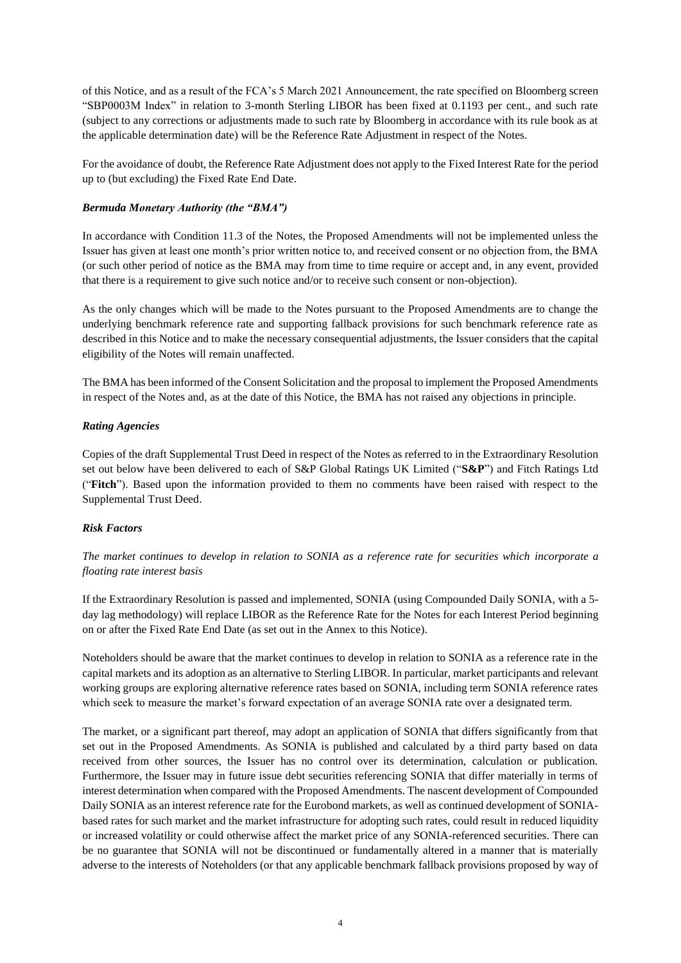of this Notice, and as a result of the FCA's 5 March 2021 Announcement, the rate specified on Bloomberg screen "SBP0003M Index" in relation to 3-month Sterling LIBOR has been fixed at 0.1193 per cent., and such rate (subject to any corrections or adjustments made to such rate by Bloomberg in accordance with its rule book as at the applicable determination date) will be the Reference Rate Adjustment in respect of the Notes.

For the avoidance of doubt, the Reference Rate Adjustment does not apply to the Fixed Interest Rate for the period up to (but excluding) the Fixed Rate End Date.

## *Bermuda Monetary Authority (the "BMA")*

In accordance with Condition 11.3 of the Notes, the Proposed Amendments will not be implemented unless the Issuer has given at least one month's prior written notice to, and received consent or no objection from, the BMA (or such other period of notice as the BMA may from time to time require or accept and, in any event, provided that there is a requirement to give such notice and/or to receive such consent or non-objection).

As the only changes which will be made to the Notes pursuant to the Proposed Amendments are to change the underlying benchmark reference rate and supporting fallback provisions for such benchmark reference rate as described in this Notice and to make the necessary consequential adjustments, the Issuer considers that the capital eligibility of the Notes will remain unaffected.

The BMA has been informed of the Consent Solicitation and the proposal to implement the Proposed Amendments in respect of the Notes and, as at the date of this Notice, the BMA has not raised any objections in principle.

### *Rating Agencies*

Copies of the draft Supplemental Trust Deed in respect of the Notes as referred to in the Extraordinary Resolution set out below have been delivered to each of S&P Global Ratings UK Limited ("**S&P**") and Fitch Ratings Ltd ("**Fitch**"). Based upon the information provided to them no comments have been raised with respect to the Supplemental Trust Deed.

### *Risk Factors*

*The market continues to develop in relation to SONIA as a reference rate for securities which incorporate a floating rate interest basis*

If the Extraordinary Resolution is passed and implemented, SONIA (using Compounded Daily SONIA, with a 5 day lag methodology) will replace LIBOR as the Reference Rate for the Notes for each Interest Period beginning on or after the Fixed Rate End Date (as set out in the Annex to this Notice).

Noteholders should be aware that the market continues to develop in relation to SONIA as a reference rate in the capital markets and its adoption as an alternative to Sterling LIBOR. In particular, market participants and relevant working groups are exploring alternative reference rates based on SONIA, including term SONIA reference rates which seek to measure the market's forward expectation of an average SONIA rate over a designated term.

The market, or a significant part thereof, may adopt an application of SONIA that differs significantly from that set out in the Proposed Amendments. As SONIA is published and calculated by a third party based on data received from other sources, the Issuer has no control over its determination, calculation or publication. Furthermore, the Issuer may in future issue debt securities referencing SONIA that differ materially in terms of interest determination when compared with the Proposed Amendments. The nascent development of Compounded Daily SONIA as an interest reference rate for the Eurobond markets, as well as continued development of SONIAbased rates for such market and the market infrastructure for adopting such rates, could result in reduced liquidity or increased volatility or could otherwise affect the market price of any SONIA-referenced securities. There can be no guarantee that SONIA will not be discontinued or fundamentally altered in a manner that is materially adverse to the interests of Noteholders (or that any applicable benchmark fallback provisions proposed by way of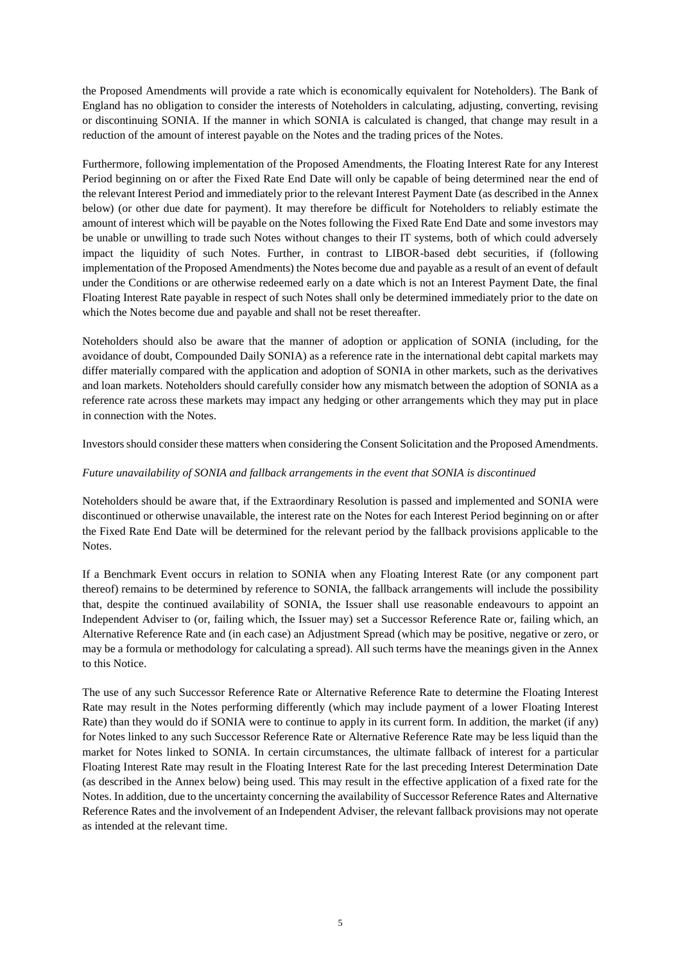the Proposed Amendments will provide a rate which is economically equivalent for Noteholders). The Bank of England has no obligation to consider the interests of Noteholders in calculating, adjusting, converting, revising or discontinuing SONIA. If the manner in which SONIA is calculated is changed, that change may result in a reduction of the amount of interest payable on the Notes and the trading prices of the Notes.

Furthermore, following implementation of the Proposed Amendments, the Floating Interest Rate for any Interest Period beginning on or after the Fixed Rate End Date will only be capable of being determined near the end of the relevant Interest Period and immediately prior to the relevant Interest Payment Date (as described in the Annex below) (or other due date for payment). It may therefore be difficult for Noteholders to reliably estimate the amount of interest which will be payable on the Notes following the Fixed Rate End Date and some investors may be unable or unwilling to trade such Notes without changes to their IT systems, both of which could adversely impact the liquidity of such Notes. Further, in contrast to LIBOR-based debt securities, if (following implementation of the Proposed Amendments) the Notes become due and payable as a result of an event of default under the Conditions or are otherwise redeemed early on a date which is not an Interest Payment Date, the final Floating Interest Rate payable in respect of such Notes shall only be determined immediately prior to the date on which the Notes become due and payable and shall not be reset thereafter.

Noteholders should also be aware that the manner of adoption or application of SONIA (including, for the avoidance of doubt, Compounded Daily SONIA) as a reference rate in the international debt capital markets may differ materially compared with the application and adoption of SONIA in other markets, such as the derivatives and loan markets. Noteholders should carefully consider how any mismatch between the adoption of SONIA as a reference rate across these markets may impact any hedging or other arrangements which they may put in place in connection with the Notes.

Investors should consider these matters when considering the Consent Solicitation and the Proposed Amendments.

### *Future unavailability of SONIA and fallback arrangements in the event that SONIA is discontinued*

Noteholders should be aware that, if the Extraordinary Resolution is passed and implemented and SONIA were discontinued or otherwise unavailable, the interest rate on the Notes for each Interest Period beginning on or after the Fixed Rate End Date will be determined for the relevant period by the fallback provisions applicable to the Notes.

If a Benchmark Event occurs in relation to SONIA when any Floating Interest Rate (or any component part thereof) remains to be determined by reference to SONIA, the fallback arrangements will include the possibility that, despite the continued availability of SONIA, the Issuer shall use reasonable endeavours to appoint an Independent Adviser to (or, failing which, the Issuer may) set a Successor Reference Rate or, failing which, an Alternative Reference Rate and (in each case) an Adjustment Spread (which may be positive, negative or zero, or may be a formula or methodology for calculating a spread). All such terms have the meanings given in the Annex to this Notice.

The use of any such Successor Reference Rate or Alternative Reference Rate to determine the Floating Interest Rate may result in the Notes performing differently (which may include payment of a lower Floating Interest Rate) than they would do if SONIA were to continue to apply in its current form. In addition, the market (if any) for Notes linked to any such Successor Reference Rate or Alternative Reference Rate may be less liquid than the market for Notes linked to SONIA. In certain circumstances, the ultimate fallback of interest for a particular Floating Interest Rate may result in the Floating Interest Rate for the last preceding Interest Determination Date (as described in the Annex below) being used. This may result in the effective application of a fixed rate for the Notes. In addition, due to the uncertainty concerning the availability of Successor Reference Rates and Alternative Reference Rates and the involvement of an Independent Adviser, the relevant fallback provisions may not operate as intended at the relevant time.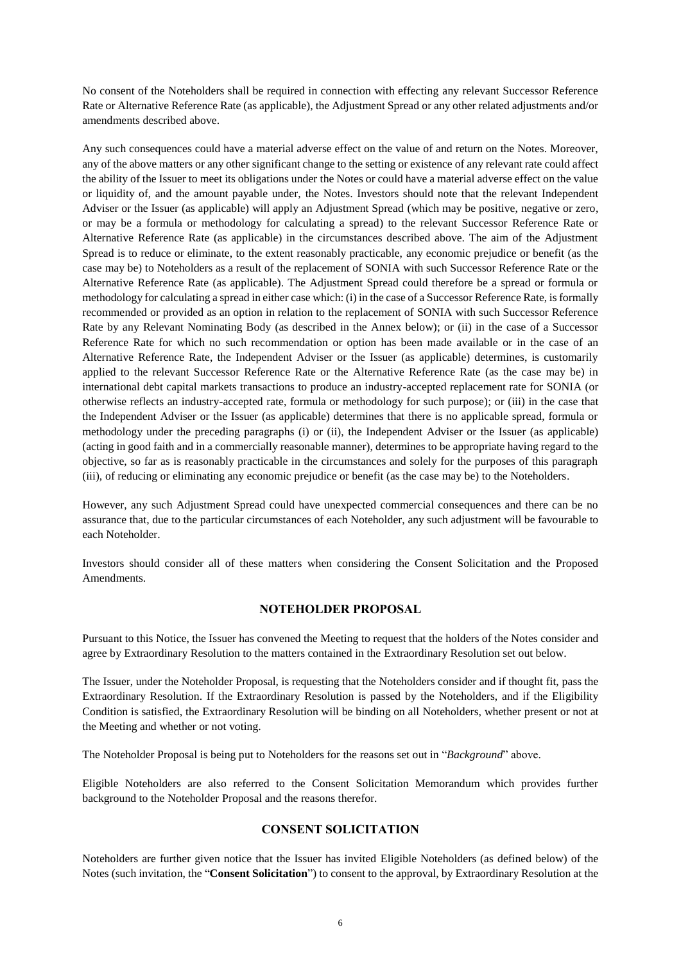No consent of the Noteholders shall be required in connection with effecting any relevant Successor Reference Rate or Alternative Reference Rate (as applicable), the Adjustment Spread or any other related adjustments and/or amendments described above.

Any such consequences could have a material adverse effect on the value of and return on the Notes. Moreover, any of the above matters or any other significant change to the setting or existence of any relevant rate could affect the ability of the Issuer to meet its obligations under the Notes or could have a material adverse effect on the value or liquidity of, and the amount payable under, the Notes. Investors should note that the relevant Independent Adviser or the Issuer (as applicable) will apply an Adjustment Spread (which may be positive, negative or zero, or may be a formula or methodology for calculating a spread) to the relevant Successor Reference Rate or Alternative Reference Rate (as applicable) in the circumstances described above. The aim of the Adjustment Spread is to reduce or eliminate, to the extent reasonably practicable, any economic prejudice or benefit (as the case may be) to Noteholders as a result of the replacement of SONIA with such Successor Reference Rate or the Alternative Reference Rate (as applicable). The Adjustment Spread could therefore be a spread or formula or methodology for calculating a spread in either case which: (i) in the case of a Successor Reference Rate, is formally recommended or provided as an option in relation to the replacement of SONIA with such Successor Reference Rate by any Relevant Nominating Body (as described in the Annex below); or (ii) in the case of a Successor Reference Rate for which no such recommendation or option has been made available or in the case of an Alternative Reference Rate, the Independent Adviser or the Issuer (as applicable) determines, is customarily applied to the relevant Successor Reference Rate or the Alternative Reference Rate (as the case may be) in international debt capital markets transactions to produce an industry-accepted replacement rate for SONIA (or otherwise reflects an industry-accepted rate, formula or methodology for such purpose); or (iii) in the case that the Independent Adviser or the Issuer (as applicable) determines that there is no applicable spread, formula or methodology under the preceding paragraphs (i) or (ii), the Independent Adviser or the Issuer (as applicable) (acting in good faith and in a commercially reasonable manner), determines to be appropriate having regard to the objective, so far as is reasonably practicable in the circumstances and solely for the purposes of this paragraph (iii), of reducing or eliminating any economic prejudice or benefit (as the case may be) to the Noteholders.

However, any such Adjustment Spread could have unexpected commercial consequences and there can be no assurance that, due to the particular circumstances of each Noteholder, any such adjustment will be favourable to each Noteholder.

Investors should consider all of these matters when considering the Consent Solicitation and the Proposed Amendments.

## **NOTEHOLDER PROPOSAL**

Pursuant to this Notice, the Issuer has convened the Meeting to request that the holders of the Notes consider and agree by Extraordinary Resolution to the matters contained in the Extraordinary Resolution set out below.

The Issuer, under the Noteholder Proposal, is requesting that the Noteholders consider and if thought fit, pass the Extraordinary Resolution. If the Extraordinary Resolution is passed by the Noteholders, and if the Eligibility Condition is satisfied, the Extraordinary Resolution will be binding on all Noteholders, whether present or not at the Meeting and whether or not voting.

The Noteholder Proposal is being put to Noteholders for the reasons set out in "*Background*" above.

Eligible Noteholders are also referred to the Consent Solicitation Memorandum which provides further background to the Noteholder Proposal and the reasons therefor.

#### **CONSENT SOLICITATION**

Noteholders are further given notice that the Issuer has invited Eligible Noteholders (as defined below) of the Notes (such invitation, the "**Consent Solicitation**") to consent to the approval, by Extraordinary Resolution at the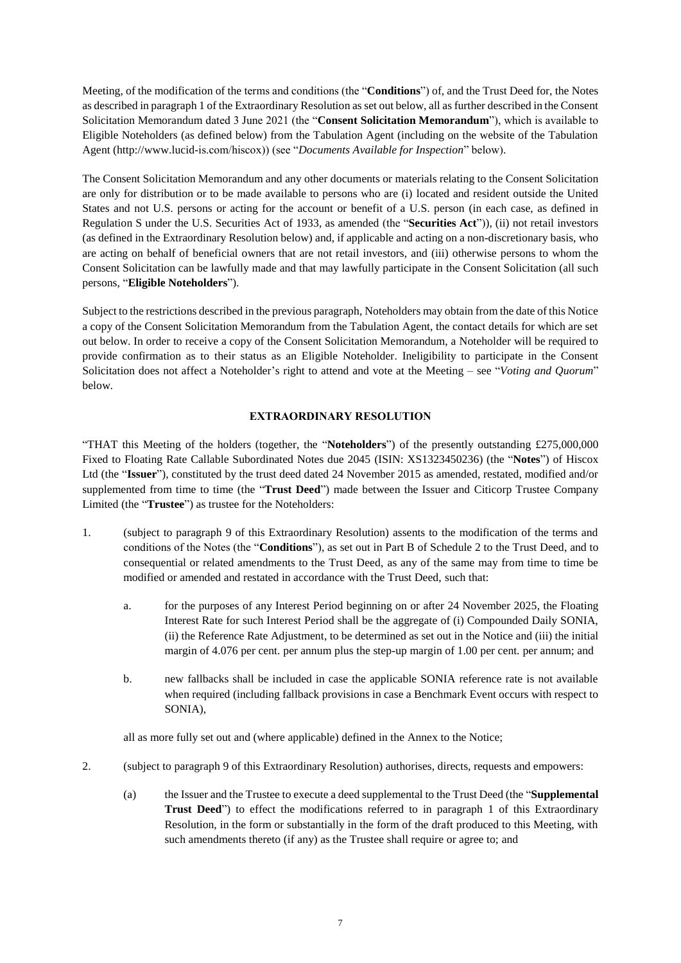Meeting, of the modification of the terms and conditions (the "**Conditions**") of, and the Trust Deed for, the Notes as described in paragraph 1 [o](#page-6-0)f the Extraordinary Resolution as set out below, all as further described in the Consent Solicitation Memorandum dated 3 June 2021 (the "**Consent Solicitation Memorandum**"), which is available to Eligible Noteholders (as defined below) from the Tabulation Agent (including on the website of the Tabulation Agent (http://www.lucid-is.com/hiscox)) (see "*Documents Available for Inspection*" below).

The Consent Solicitation Memorandum and any other documents or materials relating to the Consent Solicitation are only for distribution or to be made available to persons who are (i) located and resident outside the United States and not U.S. persons or acting for the account or benefit of a U.S. person (in each case, as defined in Regulation S under the U.S. Securities Act of 1933, as amended (the "**Securities Act**")), (ii) not retail investors (as defined in the Extraordinary Resolution below) and, if applicable and acting on a non-discretionary basis, who are acting on behalf of beneficial owners that are not retail investors, and (iii) otherwise persons to whom the Consent Solicitation can be lawfully made and that may lawfully participate in the Consent Solicitation (all such persons, "**Eligible Noteholders**").

Subject to the restrictions described in the previous paragraph, Noteholders may obtain from the date of this Notice a copy of the Consent Solicitation Memorandum from the Tabulation Agent, the contact details for which are set out below. In order to receive a copy of the Consent Solicitation Memorandum, a Noteholder will be required to provide confirmation as to their status as an Eligible Noteholder. Ineligibility to participate in the Consent Solicitation does not affect a Noteholder's right to attend and vote at the Meeting – see "*Voting and Quorum*" below.

## **EXTRAORDINARY RESOLUTION**

<span id="page-6-0"></span>"THAT this Meeting of the holders (together, the "**Noteholders**") of the presently outstanding £275,000,000 Fixed to Floating Rate Callable Subordinated Notes due 2045 (ISIN: XS1323450236) (the "**Notes**") of Hiscox Ltd (the "**Issuer**"), constituted by the trust deed dated 24 November 2015 as amended, restated, modified and/or supplemented from time to time (the "**Trust Deed**") made between the Issuer and Citicorp Trustee Company Limited (the "**Trustee**") as trustee for the Noteholders:

- 1. (subject to paragraph [9](#page-6-0) of this Extraordinary Resolution) assents to the modification of the terms and conditions of the Notes (the "**Conditions**"), as set out in Part B of Schedule 2 to the Trust Deed, and to consequential or related amendments to the Trust Deed, as any of the same may from time to time be modified or amended and restated in accordance with the Trust Deed, such that:
	- a. for the purposes of any Interest Period beginning on or after 24 November 2025, the Floating Interest Rate for such Interest Period shall be the aggregate of (i) Compounded Daily SONIA, (ii) the Reference Rate Adjustment, to be determined as set out in the Notice and (iii) the initial margin of 4.076 per cent. per annum plus the step-up margin of 1.00 per cent. per annum; and
	- b. new fallbacks shall be included in case the applicable SONIA reference rate is not available when required (including fallback provisions in case a Benchmark Event occurs with respect to SONIA),

all as more fully set out and (where applicable) defined in the Annex to the Notice;

- 2. (subject to paragraph 9 of this Extraordinary Resolution) authorises, directs, requests and empowers:
	- (a) the Issuer and the Trustee to execute a deed supplemental to the Trust Deed (the "**Supplemental Trust Deed**") to effect the modifications referred to in paragraph 1 of this Extraordinary Resolution, in the form or substantially in the form of the draft produced to this Meeting, with such amendments thereto (if any) as the Trustee shall require or agree to; and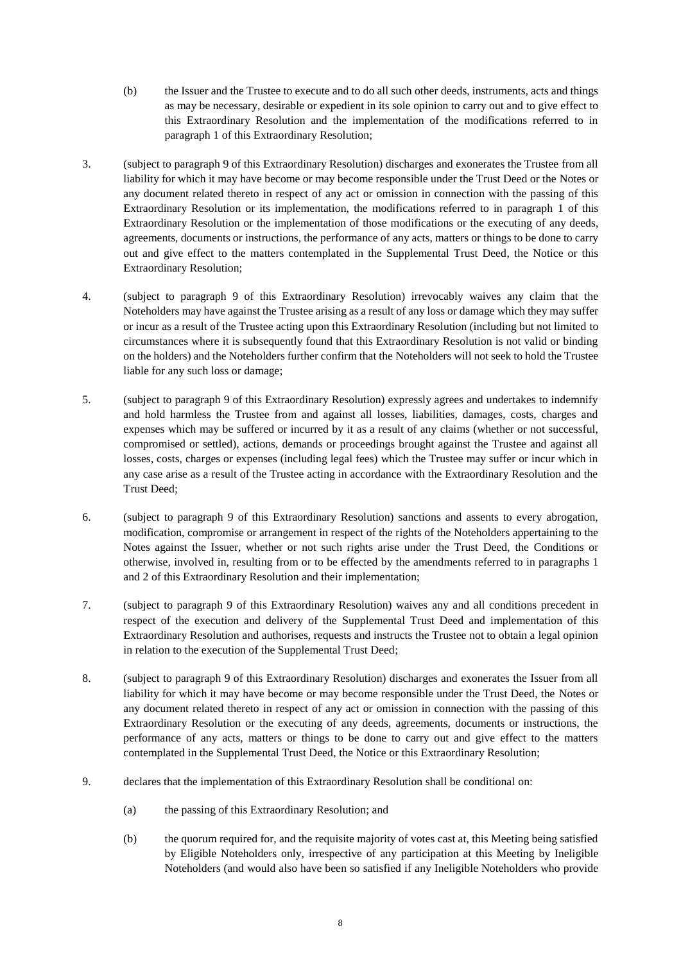- (b) the Issuer and the Trustee to execute and to do all such other deeds, instruments, acts and things as may be necessary, desirable or expedient in its sole opinion to carry out and to give effect to this Extraordinary Resolution and the implementation of the modifications referred to in paragraph 1 of this Extraordinary Resolution;
- 3. (subject to paragraph 9 of this Extraordinary Resolution) discharges and exonerates the Trustee from all liability for which it may have become or may become responsible under the Trust Deed or the Notes or any document related thereto in respect of any act or omission in connection with the passing of this Extraordinary Resolution or its implementation, the modifications referred to in paragraph 1 of this Extraordinary Resolution or the implementation of those modifications or the executing of any deeds, agreements, documents or instructions, the performance of any acts, matters or things to be done to carry out and give effect to the matters contemplated in the Supplemental Trust Deed, the Notice or this Extraordinary Resolution;
- 4. (subject to paragraph 9 of this Extraordinary Resolution) irrevocably waives any claim that the Noteholders may have against the Trustee arising as a result of any loss or damage which they may suffer or incur as a result of the Trustee acting upon this Extraordinary Resolution (including but not limited to circumstances where it is subsequently found that this Extraordinary Resolution is not valid or binding on the holders) and the Noteholders further confirm that the Noteholders will not seek to hold the Trustee liable for any such loss or damage;
- 5. (subject to paragraph 9 of this Extraordinary Resolution) expressly agrees and undertakes to indemnify and hold harmless the Trustee from and against all losses, liabilities, damages, costs, charges and expenses which may be suffered or incurred by it as a result of any claims (whether or not successful, compromised or settled), actions, demands or proceedings brought against the Trustee and against all losses, costs, charges or expenses (including legal fees) which the Trustee may suffer or incur which in any case arise as a result of the Trustee acting in accordance with the Extraordinary Resolution and the Trust Deed;
- 6. (subject to paragraph 9 of this Extraordinary Resolution) sanctions and assents to every abrogation, modification, compromise or arrangement in respect of the rights of the Noteholders appertaining to the Notes against the Issuer, whether or not such rights arise under the Trust Deed, the Conditions or otherwise, involved in, resulting from or to be effected by the amendments referred to in paragraphs 1 and 2 of this Extraordinary Resolution and their implementation;
- 7. (subject to paragraph 9 of this Extraordinary Resolution) waives any and all conditions precedent in respect of the execution and delivery of the Supplemental Trust Deed and implementation of this Extraordinary Resolution and authorises, requests and instructs the Trustee not to obtain a legal opinion in relation to the execution of the Supplemental Trust Deed;
- 8. (subject to paragraph 9 of this Extraordinary Resolution) discharges and exonerates the Issuer from all liability for which it may have become or may become responsible under the Trust Deed, the Notes or any document related thereto in respect of any act or omission in connection with the passing of this Extraordinary Resolution or the executing of any deeds, agreements, documents or instructions, the performance of any acts, matters or things to be done to carry out and give effect to the matters contemplated in the Supplemental Trust Deed, the Notice or this Extraordinary Resolution;
- 9. declares that the implementation of this Extraordinary Resolution shall be conditional on:
	- (a) the passing of this Extraordinary Resolution; and
	- (b) the quorum required for, and the requisite majority of votes cast at, this Meeting being satisfied by Eligible Noteholders only, irrespective of any participation at this Meeting by Ineligible Noteholders (and would also have been so satisfied if any Ineligible Noteholders who provide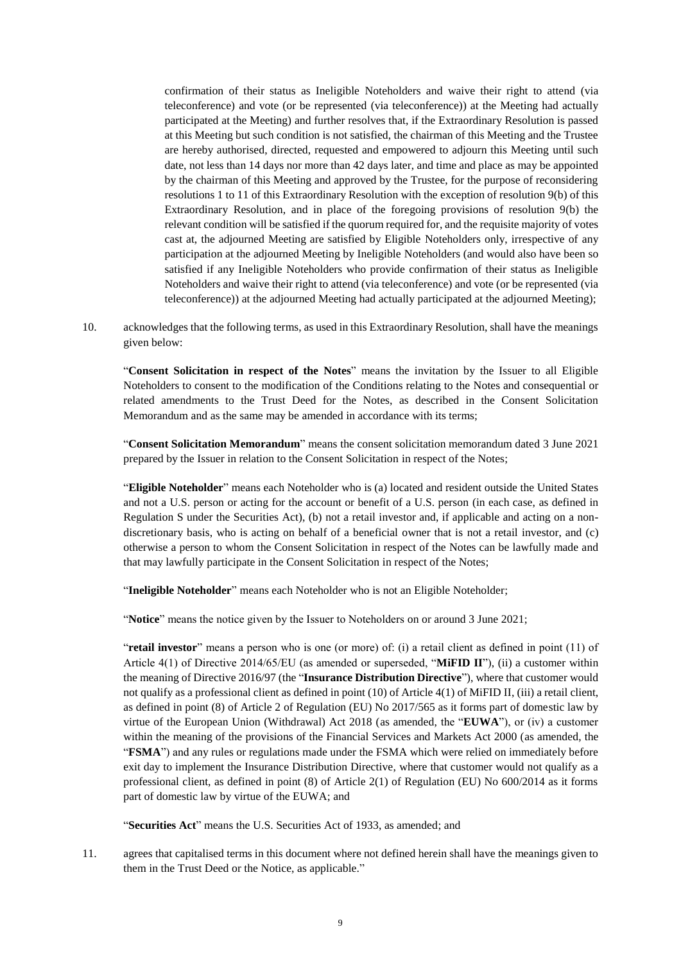confirmation of their status as Ineligible Noteholders and waive their right to attend (via teleconference) and vote (or be represented (via teleconference)) at the Meeting had actually participated at the Meeting) and further resolves that, if the Extraordinary Resolution is passed at this Meeting but such condition is not satisfied, the chairman of this Meeting and the Trustee are hereby authorised, directed, requested and empowered to adjourn this Meeting until such date, not less than 14 days nor more than 42 days later, and time and place as may be appointed by the chairman of this Meeting and approved by the Trustee, for the purpose of reconsidering resolutions 1 to 11 of this Extraordinary Resolution with the exception of resolution [9\(b\) o](#page-6-0)f this Extraordinary Resolution, and in place of the foregoing provisions of resolution 9(b) the relevant condition will be satisfied if the quorum required for, and the requisite majority of votes cast at, the adjourned Meeting are satisfied by Eligible Noteholders only, irrespective of any participation at the adjourned Meeting by Ineligible Noteholders (and would also have been so satisfied if any Ineligible Noteholders who provide confirmation of their status as Ineligible Noteholders and waive their right to attend (via teleconference) and vote (or be represented (via teleconference)) at the adjourned Meeting had actually participated at the adjourned Meeting);

10. acknowledges that the following terms, as used in this Extraordinary Resolution, shall have the meanings given below:

"**Consent Solicitation in respect of the Notes**" means the invitation by the Issuer to all Eligible Noteholders to consent to the modification of the Conditions relating to the Notes and consequential or related amendments to the Trust Deed for the Notes, as described in the Consent Solicitation Memorandum and as the same may be amended in accordance with its terms;

"**Consent Solicitation Memorandum**" means the consent solicitation memorandum dated 3 June 2021 prepared by the Issuer in relation to the Consent Solicitation in respect of the Notes;

"**Eligible Noteholder**" means each Noteholder who is (a) located and resident outside the United States and not a U.S. person or acting for the account or benefit of a U.S. person (in each case, as defined in Regulation S under the Securities Act), (b) not a retail investor and, if applicable and acting on a nondiscretionary basis, who is acting on behalf of a beneficial owner that is not a retail investor, and (c) otherwise a person to whom the Consent Solicitation in respect of the Notes can be lawfully made and that may lawfully participate in the Consent Solicitation in respect of the Notes;

"**Ineligible Noteholder**" means each Noteholder who is not an Eligible Noteholder;

"**Notice**" means the notice given by the Issuer to Noteholders on or around 3 June 2021;

"**retail investor**" means a person who is one (or more) of: (i) a retail client as defined in point (11) of Article 4(1) of Directive 2014/65/EU (as amended or superseded, "**MiFID II**"), (ii) a customer within the meaning of Directive 2016/97 (the "**Insurance Distribution Directive**"), where that customer would not qualify as a professional client as defined in point (10) of Article 4(1) of MiFID II, (iii) a retail client, as defined in point (8) of Article 2 of Regulation (EU) No 2017/565 as it forms part of domestic law by virtue of the European Union (Withdrawal) Act 2018 (as amended, the "**EUWA**"), or (iv) a customer within the meaning of the provisions of the Financial Services and Markets Act 2000 (as amended, the "**FSMA**") and any rules or regulations made under the FSMA which were relied on immediately before exit day to implement the Insurance Distribution Directive, where that customer would not qualify as a professional client, as defined in point (8) of Article 2(1) of Regulation (EU) No 600/2014 as it forms part of domestic law by virtue of the EUWA; and

"**Securities Act**" means the U.S. Securities Act of 1933, as amended; and

11. agrees that capitalised terms in this document where not defined herein shall have the meanings given to them in the Trust Deed or the Notice, as applicable."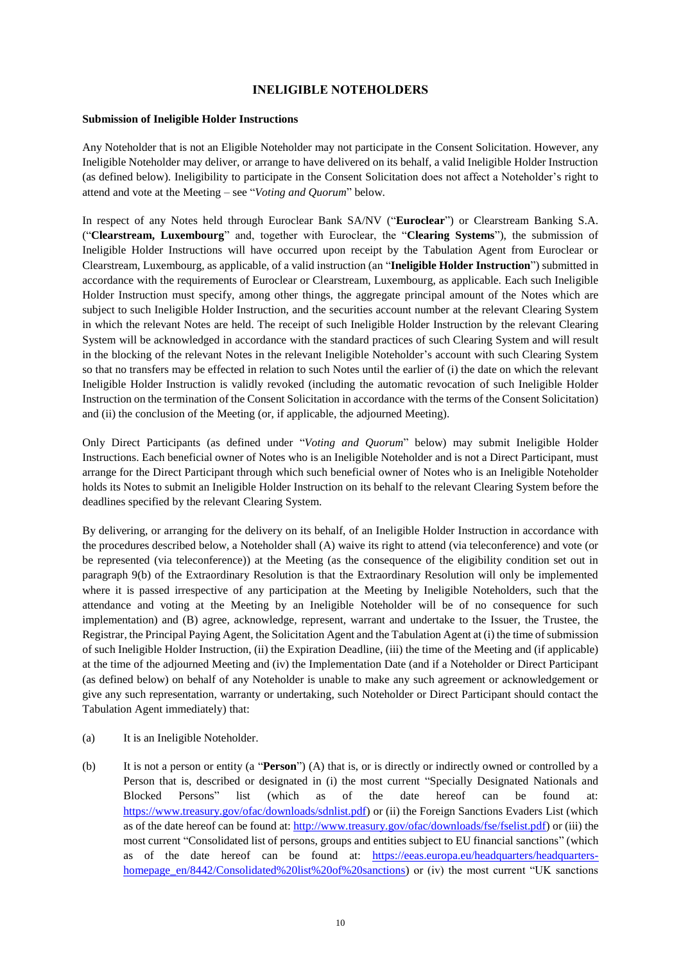## **INELIGIBLE NOTEHOLDERS**

#### **Submission of Ineligible Holder Instructions**

Any Noteholder that is not an Eligible Noteholder may not participate in the Consent Solicitation. However, any Ineligible Noteholder may deliver, or arrange to have delivered on its behalf, a valid Ineligible Holder Instruction (as defined below). Ineligibility to participate in the Consent Solicitation does not affect a Noteholder's right to attend and vote at the Meeting – see "*Voting and Quorum*" below.

In respect of any Notes held through Euroclear Bank SA/NV ("**Euroclear**") or Clearstream Banking S.A. ("**Clearstream, Luxembourg**" and, together with Euroclear, the "**Clearing Systems**"), the submission of Ineligible Holder Instructions will have occurred upon receipt by the Tabulation Agent from Euroclear or Clearstream, Luxembourg, as applicable, of a valid instruction (an "**Ineligible Holder Instruction**") submitted in accordance with the requirements of Euroclear or Clearstream, Luxembourg, as applicable. Each such Ineligible Holder Instruction must specify, among other things, the aggregate principal amount of the Notes which are subject to such Ineligible Holder Instruction, and the securities account number at the relevant Clearing System in which the relevant Notes are held. The receipt of such Ineligible Holder Instruction by the relevant Clearing System will be acknowledged in accordance with the standard practices of such Clearing System and will result in the blocking of the relevant Notes in the relevant Ineligible Noteholder's account with such Clearing System so that no transfers may be effected in relation to such Notes until the earlier of (i) the date on which the relevant Ineligible Holder Instruction is validly revoked (including the automatic revocation of such Ineligible Holder Instruction on the termination of the Consent Solicitation in accordance with the terms of the Consent Solicitation) and (ii) the conclusion of the Meeting (or, if applicable, the adjourned Meeting).

Only Direct Participants (as defined under "*[Voting and Quorum](#page-12-0)*" below) may submit Ineligible Holder Instructions. Each beneficial owner of Notes who is an Ineligible Noteholder and is not a Direct Participant, must arrange for the Direct Participant through which such beneficial owner of Notes who is an Ineligible Noteholder holds its Notes to submit an Ineligible Holder Instruction on its behalf to the relevant Clearing System before the deadlines specified by the relevant Clearing System.

By delivering, or arranging for the delivery on its behalf, of an Ineligible Holder Instruction in accordance with the procedures described below, a Noteholder shall (A) waive its right to attend (via teleconference) and vote (or be represented (via teleconference)) at the Meeting (as the consequence of the eligibility condition set out in paragraph 9(b) of the Extraordinary Resolution is that the Extraordinary Resolution will only be implemented where it is passed irrespective of any participation at the Meeting by Ineligible Noteholders, such that the attendance and voting at the Meeting by an Ineligible Noteholder will be of no consequence for such implementation) and (B) agree, acknowledge, represent, warrant and undertake to the Issuer, the Trustee, the Registrar, the Principal Paying Agent, the Solicitation Agent and the Tabulation Agent at (i) the time of submission of such Ineligible Holder Instruction, (ii) the Expiration Deadline, (iii) the time of the Meeting and (if applicable) at the time of the adjourned Meeting and (iv) the Implementation Date (and if a Noteholder or Direct Participant (as defined below) on behalf of any Noteholder is unable to make any such agreement or acknowledgement or give any such representation, warranty or undertaking, such Noteholder or Direct Participant should contact the Tabulation Agent immediately) that:

- <span id="page-9-0"></span>(a) It is an Ineligible Noteholder.
- (b) It is not a person or entity (a "**Person**") (A) that is, or is directly or indirectly owned or controlled by a Person that is, described or designated in (i) the most current "Specially Designated Nationals and Blocked Persons" list (which as of the date hereof can be found at: [https://www.treasury.gov/ofac/downloads/sdnlist.pdf\)](https://www.treasury.gov/ofac/downloads/sdnlist.pdf) or (ii) the Foreign Sanctions Evaders List (which as of the date hereof can be found at[: http://www.treasury.gov/ofac/downloads/fse/fselist.pdf\)](http://www.treasury.gov/ofac/downloads/fse/fselist.pdf) or (iii) the most current "Consolidated list of persons, groups and entities subject to EU financial sanctions" (which as of the date hereof can be found at: [https://eeas.europa.eu/headquarters/headquarters](https://eeas.europa.eu/headquarters/headquarters-homepage_en/8442/Consolidated%20list%20of%20sanctions)[homepage\\_en/8442/Consolidated%20list%20of%20sanctions\)](https://eeas.europa.eu/headquarters/headquarters-homepage_en/8442/Consolidated%20list%20of%20sanctions) or (iv) the most current "UK sanctions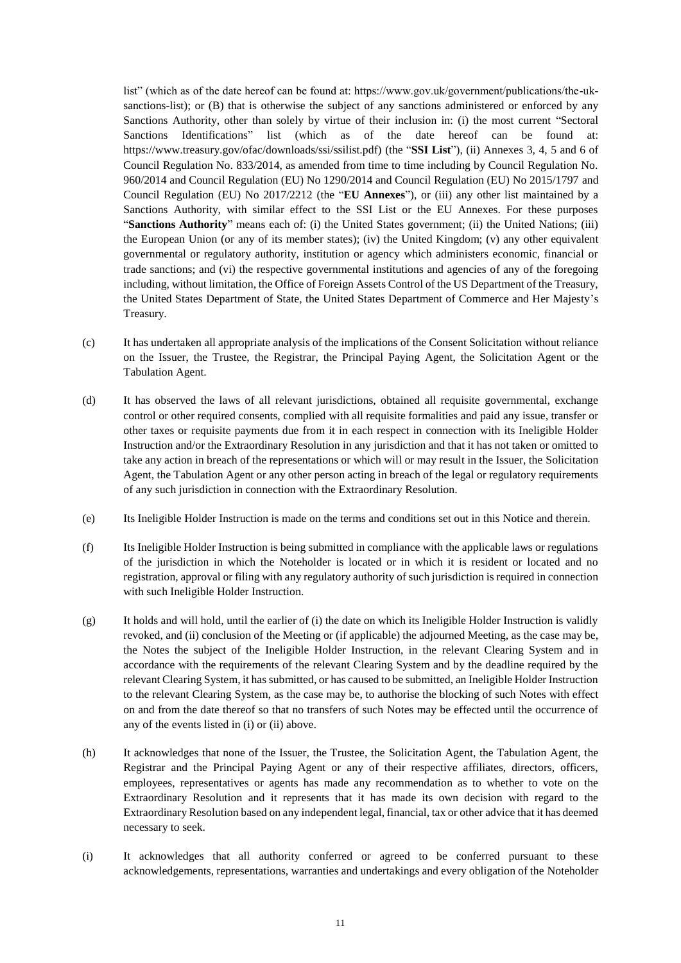list" (which as of the date hereof can be found at: https://www.gov.uk/government/publications/the-uksanctions-list); or (B) that is otherwise the subject of any sanctions administered or enforced by any Sanctions Authority, other than solely by virtue of their inclusion in: (i) the most current "Sectoral Sanctions Identifications" list (which as of the date hereof can be found at: [https://www.treasury.gov/ofac/downloads/ssi/ssilist.pdf\) \(](http://www.treasury.gov/ofac/downloads/ssi/ssilist.pdf))the "**SSI List**"), (ii) Annexes 3, 4, 5 and 6 of Council Regulation No. 833/2014, as amended from time to time including by Council Regulation No. 960/2014 and Council Regulation (EU) No 1290/2014 and Council Regulation (EU) No 2015/1797 and Council Regulation (EU) No 2017/2212 (the "**EU Annexes**"), or (iii) any other list maintained by a Sanctions Authority, with similar effect to the SSI List or the EU Annexes. For these purposes "**Sanctions Authority**" means each of: (i) the United States government; (ii) the United Nations; (iii) the European Union (or any of its member states); (iv) the United Kingdom; (v) any other equivalent governmental or regulatory authority, institution or agency which administers economic, financial or trade sanctions; and (vi) the respective governmental institutions and agencies of any of the foregoing including, without limitation, the Office of Foreign Assets Control of the US Department of the Treasury, the United States Department of State, the United States Department of Commerce and Her Majesty's Treasury.

- (c) It has undertaken all appropriate analysis of the implications of the Consent Solicitation without reliance on the Issuer, the Trustee, the Registrar, the Principal Paying Agent, the Solicitation Agent or the Tabulation Agent.
- (d) It has observed the laws of all relevant jurisdictions, obtained all requisite governmental, exchange control or other required consents, complied with all requisite formalities and paid any issue, transfer or other taxes or requisite payments due from it in each respect in connection with its Ineligible Holder Instruction and/or the Extraordinary Resolution in any jurisdiction and that it has not taken or omitted to take any action in breach of the representations or which will or may result in the Issuer, the Solicitation Agent, the Tabulation Agent or any other person acting in breach of the legal or regulatory requirements of any such jurisdiction in connection with the Extraordinary Resolution.
- (e) Its Ineligible Holder Instruction is made on the terms and conditions set out in this Notice and therein.
- (f) Its Ineligible Holder Instruction is being submitted in compliance with the applicable laws or regulations of the jurisdiction in which the Noteholder is located or in which it is resident or located and no registration, approval or filing with any regulatory authority of such jurisdiction is required in connection with such Ineligible Holder Instruction.
- (g) It holds and will hold, until the earlier of (i) the date on which its Ineligible Holder Instruction is validly revoked, and (ii) conclusion of the Meeting or (if applicable) the adjourned Meeting, as the case may be, the Notes the subject of the Ineligible Holder Instruction, in the relevant Clearing System and in accordance with the requirements of the relevant Clearing System and by the deadline required by the relevant Clearing System, it has submitted, or has caused to be submitted, an Ineligible Holder Instruction to the relevant Clearing System, as the case may be, to authorise the blocking of such Notes with effect on and from the date thereof so that no transfers of such Notes may be effected until the occurrence of any of the events listed in (i) or (ii) above.
- (h) It acknowledges that none of the Issuer, the Trustee, the Solicitation Agent, the Tabulation Agent, the Registrar and the Principal Paying Agent or any of their respective affiliates, directors, officers, employees, representatives or agents has made any recommendation as to whether to vote on the Extraordinary Resolution and it represents that it has made its own decision with regard to the Extraordinary Resolution based on any independent legal, financial, tax or other advice that it has deemed necessary to seek.
- (i) It acknowledges that all authority conferred or agreed to be conferred pursuant to these acknowledgements, representations, warranties and undertakings and every obligation of the Noteholder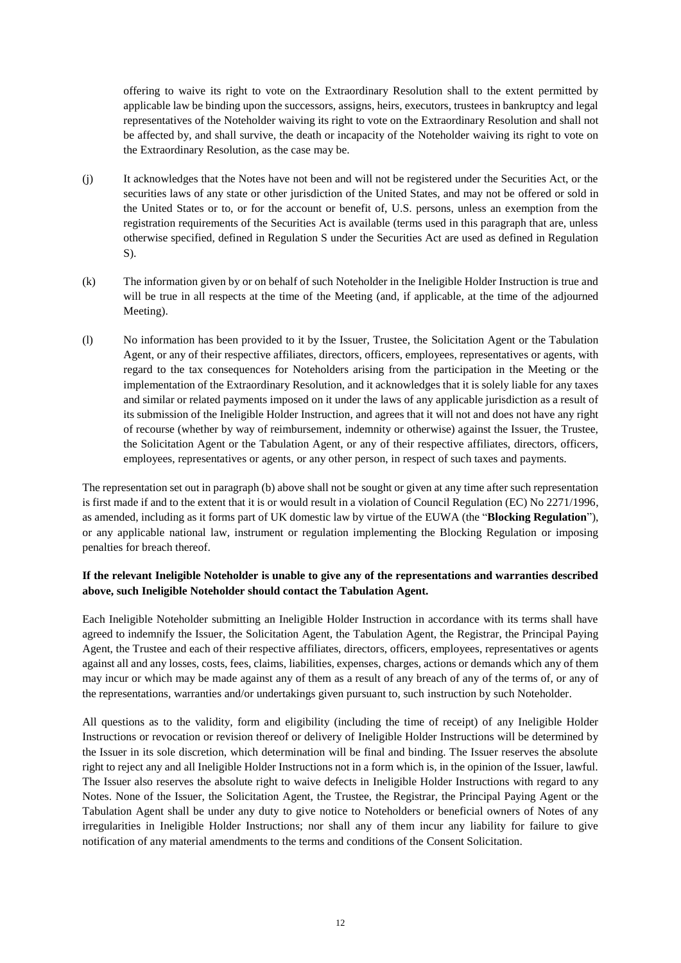offering to waive its right to vote on the Extraordinary Resolution shall to the extent permitted by applicable law be binding upon the successors, assigns, heirs, executors, trustees in bankruptcy and legal representatives of the Noteholder waiving its right to vote on the Extraordinary Resolution and shall not be affected by, and shall survive, the death or incapacity of the Noteholder waiving its right to vote on the Extraordinary Resolution, as the case may be.

- (j) It acknowledges that the Notes have not been and will not be registered under the Securities Act, or the securities laws of any state or other jurisdiction of the United States, and may not be offered or sold in the United States or to, or for the account or benefit of, U.S. persons, unless an exemption from the registration requirements of the Securities Act is available (terms used in this paragraph that are, unless otherwise specified, defined in Regulation S under the Securities Act are used as defined in Regulation S).
- (k) The information given by or on behalf of such Noteholder in the Ineligible Holder Instruction is true and will be true in all respects at the time of the Meeting (and, if applicable, at the time of the adjourned Meeting).
- (l) No information has been provided to it by the Issuer, Trustee, the Solicitation Agent or the Tabulation Agent, or any of their respective affiliates, directors, officers, employees, representatives or agents, with regard to the tax consequences for Noteholders arising from the participation in the Meeting or the implementation of the Extraordinary Resolution, and it acknowledges that it is solely liable for any taxes and similar or related payments imposed on it under the laws of any applicable jurisdiction as a result of its submission of the Ineligible Holder Instruction, and agrees that it will not and does not have any right of recourse (whether by way of reimbursement, indemnity or otherwise) against the Issuer, the Trustee, the Solicitation Agent or the Tabulation Agent, or any of their respective affiliates, directors, officers, employees, representatives or agents, or any other person, in respect of such taxes and payments.

The representation set out in paragrap[h \(b\)](#page-9-0) above shall not be sought or given at any time after such representation is first made if and to the extent that it is or would result in a violation of Council Regulation (EC) No 2271/1996, as amended, including as it forms part of UK domestic law by virtue of the EUWA (the "**Blocking Regulation**"), or any applicable national law, instrument or regulation implementing the Blocking Regulation or imposing penalties for breach thereof.

## **If the relevant Ineligible Noteholder is unable to give any of the representations and warranties described above, such Ineligible Noteholder should contact the Tabulation Agent.**

Each Ineligible Noteholder submitting an Ineligible Holder Instruction in accordance with its terms shall have agreed to indemnify the Issuer, the Solicitation Agent, the Tabulation Agent, the Registrar, the Principal Paying Agent, the Trustee and each of their respective affiliates, directors, officers, employees, representatives or agents against all and any losses, costs, fees, claims, liabilities, expenses, charges, actions or demands which any of them may incur or which may be made against any of them as a result of any breach of any of the terms of, or any of the representations, warranties and/or undertakings given pursuant to, such instruction by such Noteholder.

All questions as to the validity, form and eligibility (including the time of receipt) of any Ineligible Holder Instructions or revocation or revision thereof or delivery of Ineligible Holder Instructions will be determined by the Issuer in its sole discretion, which determination will be final and binding. The Issuer reserves the absolute right to reject any and all Ineligible Holder Instructions not in a form which is, in the opinion of the Issuer, lawful. The Issuer also reserves the absolute right to waive defects in Ineligible Holder Instructions with regard to any Notes. None of the Issuer, the Solicitation Agent, the Trustee, the Registrar, the Principal Paying Agent or the Tabulation Agent shall be under any duty to give notice to Noteholders or beneficial owners of Notes of any irregularities in Ineligible Holder Instructions; nor shall any of them incur any liability for failure to give notification of any material amendments to the terms and conditions of the Consent Solicitation.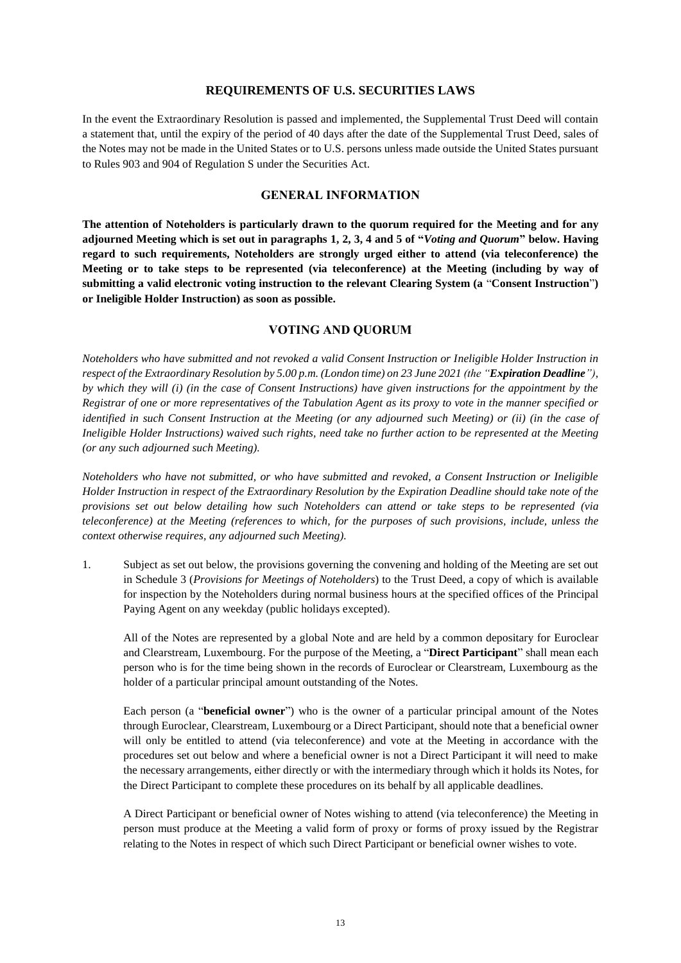#### **REQUIREMENTS OF U.S. SECURITIES LAWS**

In the event the Extraordinary Resolution is passed and implemented, the Supplemental Trust Deed will contain a statement that, until the expiry of the period of 40 days after the date of the Supplemental Trust Deed, sales of the Notes may not be made in the United States or to U.S. persons unless made outside the United States pursuant to Rules 903 and 904 of Regulation S under the Securities Act.

## **GENERAL INFORMATION**

**The attention of Noteholders is particularly drawn to the quorum required for the Meeting and for any adjourned Meeting which is set out in paragraphs [1,](#page-12-1) [2,](#page-14-0) [3,](#page-14-1) [4](#page-14-2) and [5](#page-15-0) of "***[Voting and](#page-12-0) [Quorum](#page-12-0)***" below. Having regard to such requirements, Noteholders are strongly urged either to attend (via teleconference) the Meeting or to take steps to be represented (via teleconference) at the Meeting (including by way of submitting a valid electronic voting instruction to the relevant Clearing System (a** "**Consent Instruction**"**) or Ineligible Holder Instruction) as soon as possible.**

#### **VOTING AND QUORUM**

<span id="page-12-0"></span>*Noteholders who have submitted and not revoked a valid Consent Instruction or Ineligible Holder Instruction in respect of the Extraordinary Resolution by 5.00 p.m. (London time) on 23 June 2021 (the "Expiration Deadline"), by which they will (i) (in the case of Consent Instructions) have given instructions for the appointment by the Registrar of one or more representatives of the Tabulation Agent as its proxy to vote in the manner specified or identified in such Consent Instruction at the Meeting (or any adjourned such Meeting) or (ii) (in the case of Ineligible Holder Instructions) waived such rights, need take no further action to be represented at the Meeting (or any such adjourned such Meeting).*

*Noteholders who have not submitted, or who have submitted and revoked, a Consent Instruction or Ineligible Holder Instruction in respect of the Extraordinary Resolution by the Expiration Deadline should take note of the provisions set out below detailing how such Noteholders can attend or take steps to be represented (via teleconference) at the Meeting (references to which, for the purposes of such provisions, include, unless the context otherwise requires, any adjourned such Meeting).* 

<span id="page-12-1"></span>1. Subject as set out below, the provisions governing the convening and holding of the Meeting are set out in Schedule 3 (*Provisions for Meetings of Noteholders*) to the Trust Deed, a copy of which is available for inspection by the Noteholders during normal business hours at the specified offices of the Principal Paying Agent on any weekday (public holidays excepted).

All of the Notes are represented by a global Note and are held by a common depositary for Euroclear and Clearstream, Luxembourg. For the purpose of the Meeting, a "**Direct Participant**" shall mean each person who is for the time being shown in the records of Euroclear or Clearstream, Luxembourg as the holder of a particular principal amount outstanding of the Notes.

Each person (a "**beneficial owner**") who is the owner of a particular principal amount of the Notes through Euroclear, Clearstream, Luxembourg or a Direct Participant, should note that a beneficial owner will only be entitled to attend (via teleconference) and vote at the Meeting in accordance with the procedures set out below and where a beneficial owner is not a Direct Participant it will need to make the necessary arrangements, either directly or with the intermediary through which it holds its Notes, for the Direct Participant to complete these procedures on its behalf by all applicable deadlines.

A Direct Participant or beneficial owner of Notes wishing to attend (via teleconference) the Meeting in person must produce at the Meeting a valid form of proxy or forms of proxy issued by the Registrar relating to the Notes in respect of which such Direct Participant or beneficial owner wishes to vote.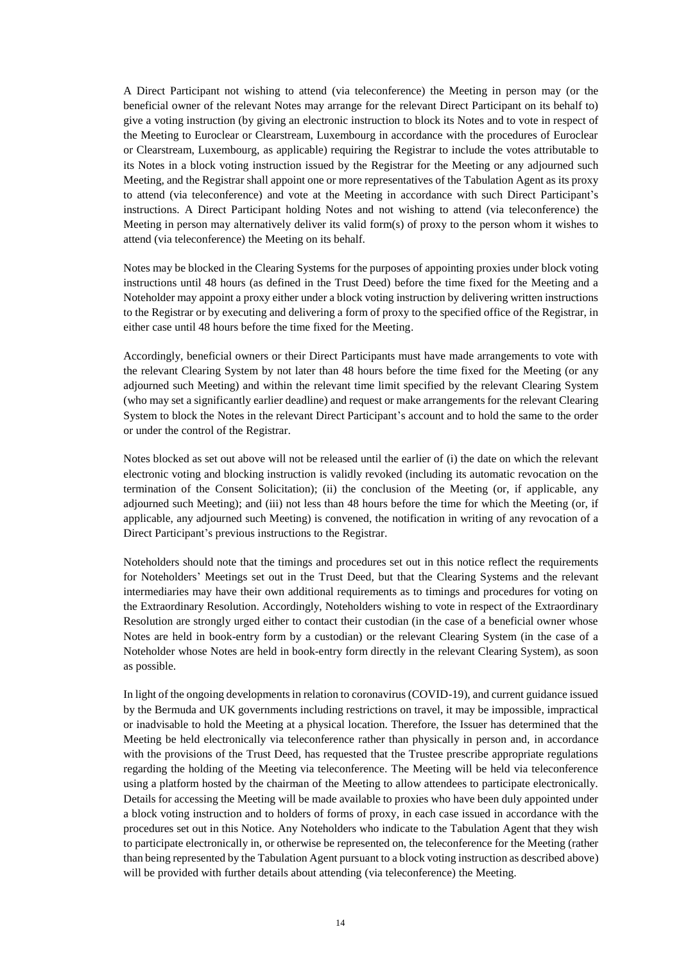A Direct Participant not wishing to attend (via teleconference) the Meeting in person may (or the beneficial owner of the relevant Notes may arrange for the relevant Direct Participant on its behalf to) give a voting instruction (by giving an electronic instruction to block its Notes and to vote in respect of the Meeting to Euroclear or Clearstream, Luxembourg in accordance with the procedures of Euroclear or Clearstream, Luxembourg, as applicable) requiring the Registrar to include the votes attributable to its Notes in a block voting instruction issued by the Registrar for the Meeting or any adjourned such Meeting, and the Registrar shall appoint one or more representatives of the Tabulation Agent as its proxy to attend (via teleconference) and vote at the Meeting in accordance with such Direct Participant's instructions. A Direct Participant holding Notes and not wishing to attend (via teleconference) the Meeting in person may alternatively deliver its valid form(s) of proxy to the person whom it wishes to attend (via teleconference) the Meeting on its behalf.

Notes may be blocked in the Clearing Systems for the purposes of appointing proxies under block voting instructions until 48 hours (as defined in the Trust Deed) before the time fixed for the Meeting and a Noteholder may appoint a proxy either under a block voting instruction by delivering written instructions to the Registrar or by executing and delivering a form of proxy to the specified office of the Registrar, in either case until 48 hours before the time fixed for the Meeting.

Accordingly, beneficial owners or their Direct Participants must have made arrangements to vote with the relevant Clearing System by not later than 48 hours before the time fixed for the Meeting (or any adjourned such Meeting) and within the relevant time limit specified by the relevant Clearing System (who may set a significantly earlier deadline) and request or make arrangements for the relevant Clearing System to block the Notes in the relevant Direct Participant's account and to hold the same to the order or under the control of the Registrar.

Notes blocked as set out above will not be released until the earlier of (i) the date on which the relevant electronic voting and blocking instruction is validly revoked (including its automatic revocation on the termination of the Consent Solicitation); (ii) the conclusion of the Meeting (or, if applicable, any adjourned such Meeting); and (iii) not less than 48 hours before the time for which the Meeting (or, if applicable, any adjourned such Meeting) is convened, the notification in writing of any revocation of a Direct Participant's previous instructions to the Registrar.

Noteholders should note that the timings and procedures set out in this notice reflect the requirements for Noteholders' Meetings set out in the Trust Deed, but that the Clearing Systems and the relevant intermediaries may have their own additional requirements as to timings and procedures for voting on the Extraordinary Resolution. Accordingly, Noteholders wishing to vote in respect of the Extraordinary Resolution are strongly urged either to contact their custodian (in the case of a beneficial owner whose Notes are held in book-entry form by a custodian) or the relevant Clearing System (in the case of a Noteholder whose Notes are held in book-entry form directly in the relevant Clearing System), as soon as possible.

In light of the ongoing developments in relation to coronavirus (COVID-19), and current guidance issued by the Bermuda and UK governments including restrictions on travel, it may be impossible, impractical or inadvisable to hold the Meeting at a physical location. Therefore, the Issuer has determined that the Meeting be held electronically via teleconference rather than physically in person and, in accordance with the provisions of the Trust Deed, has requested that the Trustee prescribe appropriate regulations regarding the holding of the Meeting via teleconference. The Meeting will be held via teleconference using a platform hosted by the chairman of the Meeting to allow attendees to participate electronically. Details for accessing the Meeting will be made available to proxies who have been duly appointed under a block voting instruction and to holders of forms of proxy, in each case issued in accordance with the procedures set out in this Notice. Any Noteholders who indicate to the Tabulation Agent that they wish to participate electronically in, or otherwise be represented on, the teleconference for the Meeting (rather than being represented by the Tabulation Agent pursuant to a block voting instruction as described above) will be provided with further details about attending (via teleconference) the Meeting.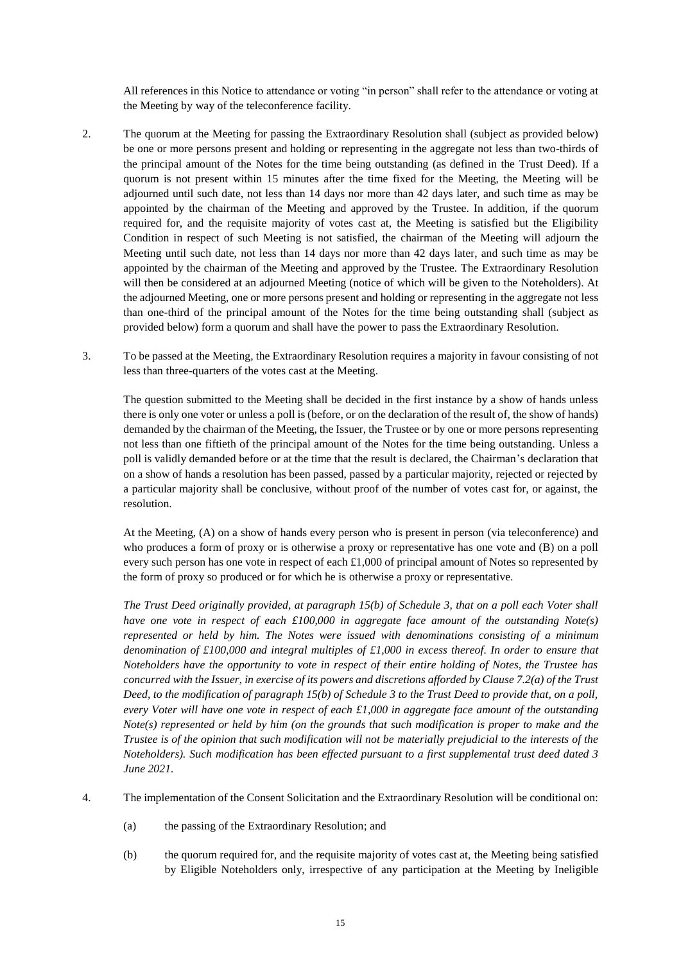All references in this Notice to attendance or voting "in person" shall refer to the attendance or voting at the Meeting by way of the teleconference facility.

- <span id="page-14-0"></span>2. The quorum at the Meeting for passing the Extraordinary Resolution shall (subject as provided below) be one or more persons present and holding or representing in the aggregate not less than two-thirds of the principal amount of the Notes for the time being outstanding (as defined in the Trust Deed). If a quorum is not present within 15 minutes after the time fixed for the Meeting, the Meeting will be adjourned until such date, not less than 14 days nor more than 42 days later, and such time as may be appointed by the chairman of the Meeting and approved by the Trustee. In addition, if the quorum required for, and the requisite majority of votes cast at, the Meeting is satisfied but the Eligibility Condition in respect of such Meeting is not satisfied, the chairman of the Meeting will adjourn the Meeting until such date, not less than 14 days nor more than 42 days later, and such time as may be appointed by the chairman of the Meeting and approved by the Trustee. The Extraordinary Resolution will then be considered at an adjourned Meeting (notice of which will be given to the Noteholders). At the adjourned Meeting, one or more persons present and holding or representing in the aggregate not less than one-third of the principal amount of the Notes for the time being outstanding shall (subject as provided below) form a quorum and shall have the power to pass the Extraordinary Resolution.
- <span id="page-14-1"></span>3. To be passed at the Meeting, the Extraordinary Resolution requires a majority in favour consisting of not less than three-quarters of the votes cast at the Meeting.

The question submitted to the Meeting shall be decided in the first instance by a show of hands unless there is only one voter or unless a poll is (before, or on the declaration of the result of, the show of hands) demanded by the chairman of the Meeting, the Issuer, the Trustee or by one or more persons representing not less than one fiftieth of the principal amount of the Notes for the time being outstanding. Unless a poll is validly demanded before or at the time that the result is declared, the Chairman's declaration that on a show of hands a resolution has been passed, passed by a particular majority, rejected or rejected by a particular majority shall be conclusive, without proof of the number of votes cast for, or against, the resolution.

At the Meeting, (A) on a show of hands every person who is present in person (via teleconference) and who produces a form of proxy or is otherwise a proxy or representative has one vote and (B) on a poll every such person has one vote in respect of each £1,000 of principal amount of Notes so represented by the form of proxy so produced or for which he is otherwise a proxy or representative.

*The Trust Deed originally provided, at paragraph 15(b) of Schedule 3, that on a poll each Voter shall have one vote in respect of each £100,000 in aggregate face amount of the outstanding Note(s) represented or held by him. The Notes were issued with denominations consisting of a minimum denomination of £100,000 and integral multiples of £1,000 in excess thereof. In order to ensure that Noteholders have the opportunity to vote in respect of their entire holding of Notes, the Trustee has concurred with the Issuer, in exercise of its powers and discretions afforded by Clause 7.2(a) of the Trust Deed, to the modification of paragraph 15(b) of Schedule 3 to the Trust Deed to provide that, on a poll, every Voter will have one vote in respect of each £1,000 in aggregate face amount of the outstanding Note(s) represented or held by him (on the grounds that such modification is proper to make and the Trustee is of the opinion that such modification will not be materially prejudicial to the interests of the Noteholders). Such modification has been effected pursuant to a first supplemental trust deed dated 3 June 2021.* 

- <span id="page-14-2"></span>4. The implementation of the Consent Solicitation and the Extraordinary Resolution will be conditional on:
	- (a) the passing of the Extraordinary Resolution; and
	- (b) the quorum required for, and the requisite majority of votes cast at, the Meeting being satisfied by Eligible Noteholders only, irrespective of any participation at the Meeting by Ineligible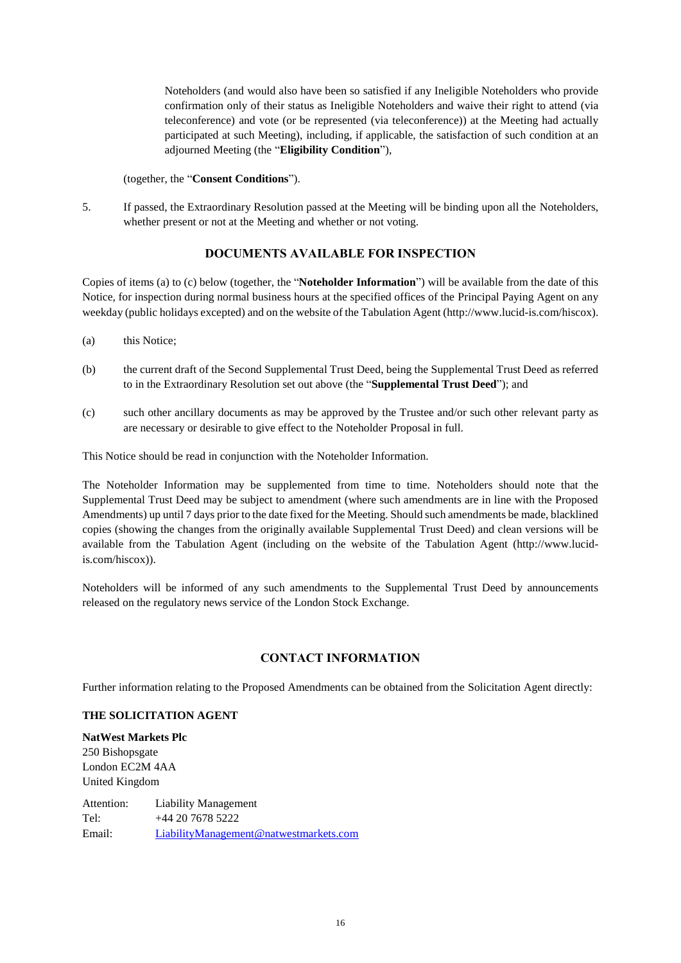Noteholders (and would also have been so satisfied if any Ineligible Noteholders who provide confirmation only of their status as Ineligible Noteholders and waive their right to attend (via teleconference) and vote (or be represented (via teleconference)) at the Meeting had actually participated at such Meeting), including, if applicable, the satisfaction of such condition at an adjourned Meeting (the "**Eligibility Condition**"),

(together, the "**Consent Conditions**").

<span id="page-15-0"></span>5. If passed, the Extraordinary Resolution passed at the Meeting will be binding upon all the Noteholders, whether present or not at the Meeting and whether or not voting.

## **DOCUMENTS AVAILABLE FOR INSPECTION**

Copies of items [\(a\)](#page-15-1) [t](#page-15-1)o [\(c\)](#page-15-2) below [\(](#page-15-3)together, the "**Noteholder Information**") will be available from the date of this Notice, for inspection during normal business hours at the specified offices of the Principal Paying Agent on any weekday (public holidays excepted) and on the website of the Tabulation Agent (http://www.lucid-is.com/hiscox).

- <span id="page-15-3"></span><span id="page-15-1"></span>(a) this Notice;
- (b) the current draft of the Second Supplemental Trust Deed, being the Supplemental Trust Deed as referred to in the Extraordinary Resolution set out above (the "**Supplemental Trust Deed**"); and
- <span id="page-15-2"></span>(c) such other ancillary documents as may be approved by the Trustee and/or such other relevant party as are necessary or desirable to give effect to the Noteholder Proposal in full.

This Notice should be read in conjunction with the Noteholder Information.

The Noteholder Information may be supplemented from time to time. Noteholders should note that the Supplemental Trust Deed may be subject to amendment (where such amendments are in line with the Proposed Amendments) up until 7 days prior to the date fixed for the Meeting. Should such amendments be made, blacklined copies (showing the changes from the originally available Supplemental Trust Deed) and clean versions will be available from the Tabulation Agent (including on the website of the Tabulation Agent (http://www.lucidis.com/hiscox)).

Noteholders will be informed of any such amendments to the Supplemental Trust Deed by announcements released on the regulatory news service of the London Stock Exchange.

### **CONTACT INFORMATION**

Further information relating to the Proposed Amendments can be obtained from the Solicitation Agent directly:

#### **THE SOLICITATION AGENT**

**NatWest Markets Plc** 250 Bishopsgate London EC2M 4AA United Kingdom

Attention: Liability Management Tel: +44 20 7678 5222 Email: [LiabilityManagement@natwestmarkets.com](mailto:LiabilityManagement@natwestmarkets.com)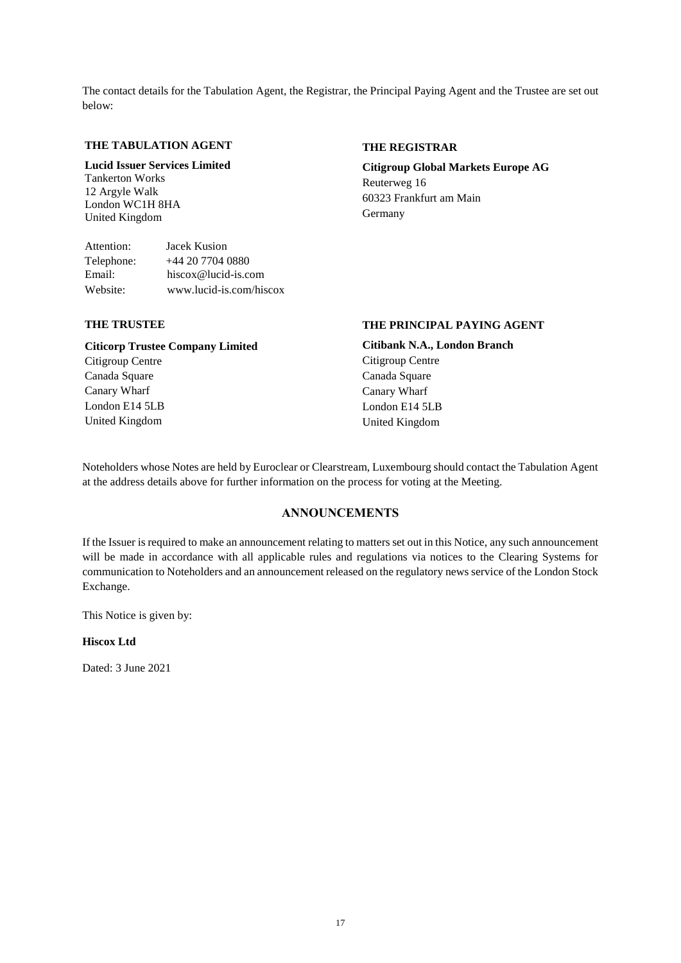The contact details for the Tabulation Agent, the Registrar, the Principal Paying Agent and the Trustee are set out below:

### **THE TABULATION AGENT**

**Lucid Issuer Services Limited** Tankerton Works 12 Argyle Walk London WC1H 8HA United Kingdom

Attention: Jacek Kusion Telephone: +44 20 7704 0880 Email: hiscox@lucid-is.com Website: www.lucid-is.com/hiscox

### **THE REGISTRAR**

**Citigroup Global Markets Europe AG** Reuterweg 16 60323 Frankfurt am Main Germany

### **THE TRUSTEE**

**Citicorp Trustee Company Limited** Citigroup Centre Canada Square Canary Wharf London E14 5LB United Kingdom

# **THE PRINCIPAL PAYING AGENT**

**Citibank N.A., London Branch** Citigroup Centre Canada Square Canary Wharf London E14 5LB United Kingdom

Noteholders whose Notes are held by Euroclear or Clearstream, Luxembourg should contact the Tabulation Agent at the address details above for further information on the process for voting at the Meeting.

## **ANNOUNCEMENTS**

If the Issuer is required to make an announcement relating to matters set out in this Notice, any such announcement will be made in accordance with all applicable rules and regulations via notices to the Clearing Systems for communication to Noteholders and an announcement released on the regulatory news service of the London Stock Exchange.

This Notice is given by:

### **Hiscox Ltd**

Dated: 3 June 2021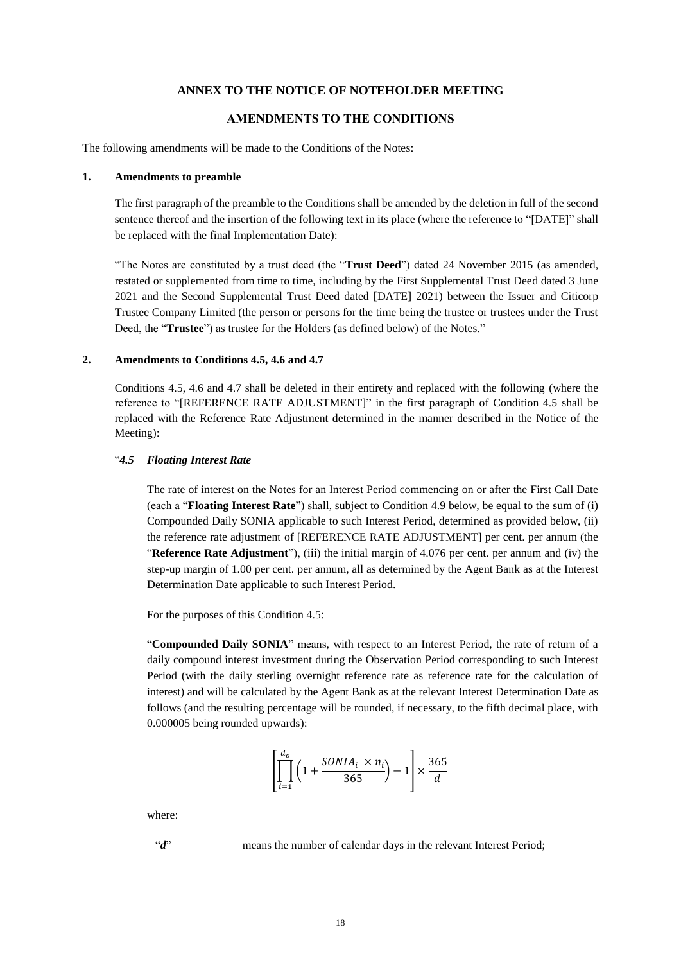#### **ANNEX TO THE NOTICE OF NOTEHOLDER MEETING**

## **AMENDMENTS TO THE CONDITIONS**

The following amendments will be made to the Conditions of the Notes:

#### **1. Amendments to preamble**

The first paragraph of the preamble to the Conditions shall be amended by the deletion in full of the second sentence thereof and the insertion of the following text in its place (where the reference to "[DATE]" shall be replaced with the final Implementation Date):

"The Notes are constituted by a trust deed (the "**Trust Deed**") dated 24 November 2015 (as amended, restated or supplemented from time to time, including by the First Supplemental Trust Deed dated 3 June 2021 and the Second Supplemental Trust Deed dated [DATE] 2021) between the Issuer and Citicorp Trustee Company Limited (the person or persons for the time being the trustee or trustees under the Trust Deed, the "**Trustee**") as trustee for the Holders (as defined below) of the Notes."

#### **2. Amendments to Conditions 4.5, 4.6 and 4.7**

Conditions 4.5, 4.6 and 4.7 shall be deleted in their entirety and replaced with the following (where the reference to "[REFERENCE RATE ADJUSTMENT]" in the first paragraph of Condition 4.5 shall be replaced with the Reference Rate Adjustment determined in the manner described in the Notice of the Meeting):

#### "*4.5 Floating Interest Rate*

The rate of interest on the Notes for an Interest Period commencing on or after the First Call Date (each a "**Floating Interest Rate**") shall, subject to Condition 4.9 below, be equal to the sum of (i) Compounded Daily SONIA applicable to such Interest Period, determined as provided below, (ii) the reference rate adjustment of [REFERENCE RATE ADJUSTMENT] per cent. per annum (the "**Reference Rate Adjustment**"), (iii) the initial margin of 4.076 per cent. per annum and (iv) the step-up margin of 1.00 per cent. per annum, all as determined by the Agent Bank as at the Interest Determination Date applicable to such Interest Period.

For the purposes of this Condition 4.5:

"**Compounded Daily SONIA**" means, with respect to an Interest Period, the rate of return of a daily compound interest investment during the Observation Period corresponding to such Interest Period (with the daily sterling overnight reference rate as reference rate for the calculation of interest) and will be calculated by the Agent Bank as at the relevant Interest Determination Date as follows (and the resulting percentage will be rounded, if necessary, to the fifth decimal place, with 0.000005 being rounded upwards):

$$
\left[\prod_{i=1}^{d_o} \left(1 + \frac{SONIA_i \times n_i}{365}\right) - 1\right] \times \frac{365}{d}
$$

where:

"*d*" means the number of calendar days in the relevant Interest Period;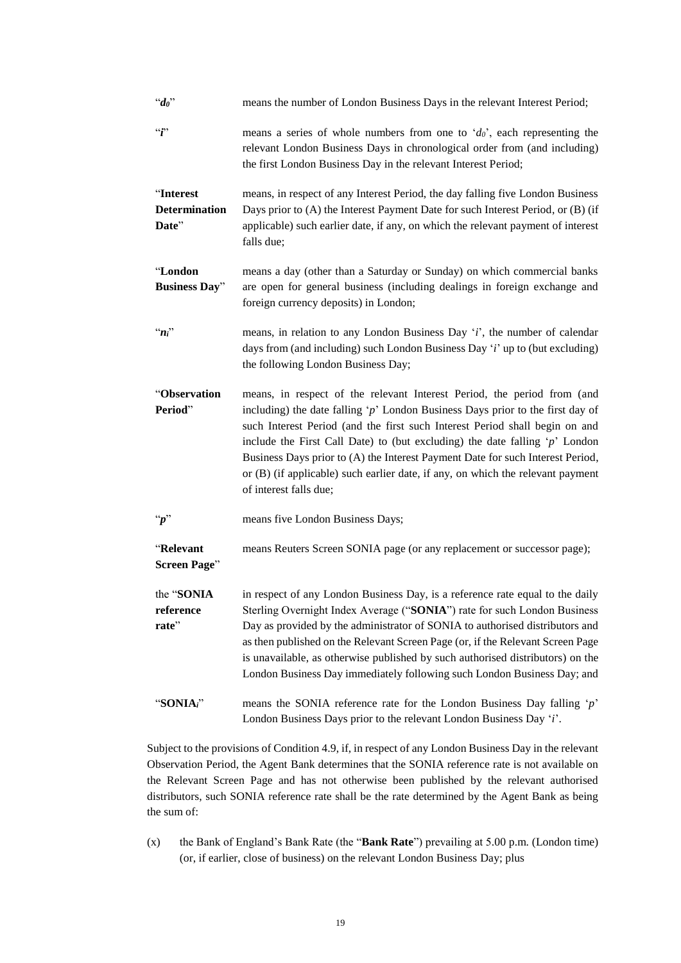| $d_0$                                      | means the number of London Business Days in the relevant Interest Period;                                                                                                                                                                                                                                                                                                                                                                                                                                                       |
|--------------------------------------------|---------------------------------------------------------------------------------------------------------------------------------------------------------------------------------------------------------------------------------------------------------------------------------------------------------------------------------------------------------------------------------------------------------------------------------------------------------------------------------------------------------------------------------|
| $\lq\lq\lq\lq$                             | means a series of whole numbers from one to ' $d_0$ ', each representing the<br>relevant London Business Days in chronological order from (and including)<br>the first London Business Day in the relevant Interest Period;                                                                                                                                                                                                                                                                                                     |
| "Interest<br><b>Determination</b><br>Date" | means, in respect of any Interest Period, the day falling five London Business<br>Days prior to (A) the Interest Payment Date for such Interest Period, or (B) (if<br>applicable) such earlier date, if any, on which the relevant payment of interest<br>falls due;                                                                                                                                                                                                                                                            |
| "London<br><b>Business Day"</b>            | means a day (other than a Saturday or Sunday) on which commercial banks<br>are open for general business (including dealings in foreign exchange and<br>foreign currency deposits) in London;                                                                                                                                                                                                                                                                                                                                   |
| $n_i$                                      | means, in relation to any London Business Day 'i', the number of calendar<br>days from (and including) such London Business Day 'i' up to (but excluding)<br>the following London Business Day;                                                                                                                                                                                                                                                                                                                                 |
| "Observation<br>Period"                    | means, in respect of the relevant Interest Period, the period from (and<br>including) the date falling ' $p$ ' London Business Days prior to the first day of<br>such Interest Period (and the first such Interest Period shall begin on and<br>include the First Call Date) to (but excluding) the date falling $\gamma$ London<br>Business Days prior to (A) the Interest Payment Date for such Interest Period,<br>or (B) (if applicable) such earlier date, if any, on which the relevant payment<br>of interest falls due; |
| $\lq\lq p$ "                               | means five London Business Days;                                                                                                                                                                                                                                                                                                                                                                                                                                                                                                |
| "Relevant<br><b>Screen Page"</b>           | means Reuters Screen SONIA page (or any replacement or successor page);                                                                                                                                                                                                                                                                                                                                                                                                                                                         |
| the "SONIA<br>reference<br>rate"           | in respect of any London Business Day, is a reference rate equal to the daily<br>Sterling Overnight Index Average ("SONIA") rate for such London Business<br>Day as provided by the administrator of SONIA to authorised distributors and<br>as then published on the Relevant Screen Page (or, if the Relevant Screen Page<br>is unavailable, as otherwise published by such authorised distributors) on the<br>London Business Day immediately following such London Business Day; and                                        |
| "SONIAi"                                   | means the SONIA reference rate for the London Business Day falling $\dot{p}$<br>London Business Days prior to the relevant London Business Day 'i'.                                                                                                                                                                                                                                                                                                                                                                             |

Subject to the provisions of Condition 4.9, if, in respect of any London Business Day in the relevant Observation Period, the Agent Bank determines that the SONIA reference rate is not available on the Relevant Screen Page and has not otherwise been published by the relevant authorised distributors, such SONIA reference rate shall be the rate determined by the Agent Bank as being the sum of:

(x) the Bank of England's Bank Rate (the "**Bank Rate**") prevailing at 5.00 p.m. (London time) (or, if earlier, close of business) on the relevant London Business Day; plus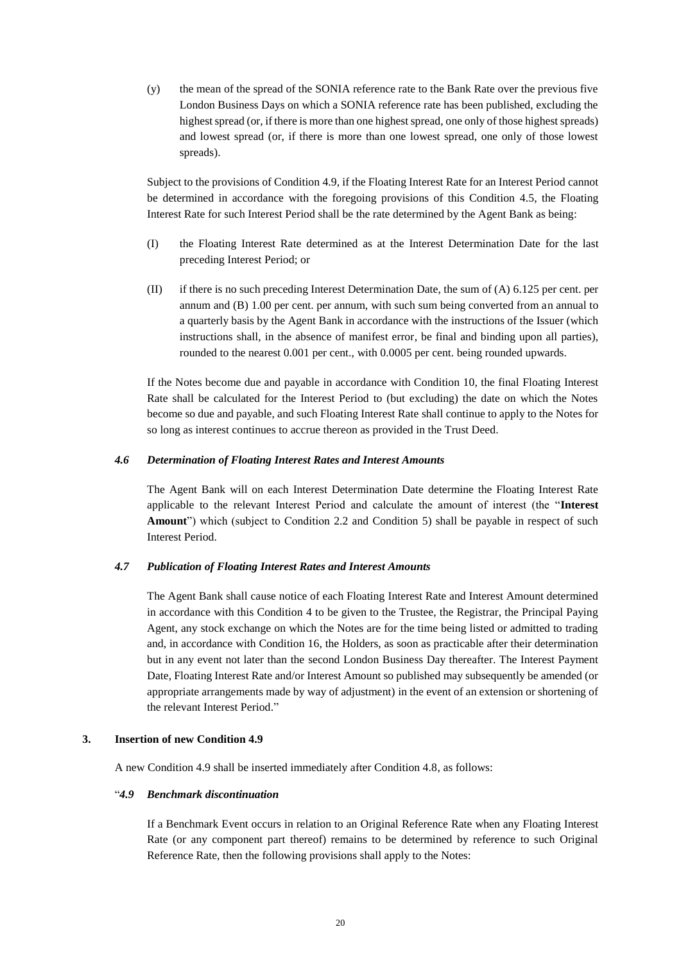(y) the mean of the spread of the SONIA reference rate to the Bank Rate over the previous five London Business Days on which a SONIA reference rate has been published, excluding the highest spread (or, if there is more than one highest spread, one only of those highest spreads) and lowest spread (or, if there is more than one lowest spread, one only of those lowest spreads).

Subject to the provisions of Condition 4.9, if the Floating Interest Rate for an Interest Period cannot be determined in accordance with the foregoing provisions of this Condition 4.5, the Floating Interest Rate for such Interest Period shall be the rate determined by the Agent Bank as being:

- (I) the Floating Interest Rate determined as at the Interest Determination Date for the last preceding Interest Period; or
- (II) if there is no such preceding Interest Determination Date, the sum of (A) 6.125 per cent. per annum and (B) 1.00 per cent. per annum, with such sum being converted from an annual to a quarterly basis by the Agent Bank in accordance with the instructions of the Issuer (which instructions shall, in the absence of manifest error, be final and binding upon all parties), rounded to the nearest 0.001 per cent., with 0.0005 per cent. being rounded upwards.

If the Notes become due and payable in accordance with Condition 10, the final Floating Interest Rate shall be calculated for the Interest Period to (but excluding) the date on which the Notes become so due and payable, and such Floating Interest Rate shall continue to apply to the Notes for so long as interest continues to accrue thereon as provided in the Trust Deed.

### *4.6 Determination of Floating Interest Rates and Interest Amounts*

The Agent Bank will on each Interest Determination Date determine the Floating Interest Rate applicable to the relevant Interest Period and calculate the amount of interest (the "**Interest Amount**") which (subject to Condition 2.2 and Condition 5) shall be payable in respect of such Interest Period.

#### *4.7 Publication of Floating Interest Rates and Interest Amounts*

The Agent Bank shall cause notice of each Floating Interest Rate and Interest Amount determined in accordance with this Condition 4 to be given to the Trustee, the Registrar, the Principal Paying Agent, any stock exchange on which the Notes are for the time being listed or admitted to trading and, in accordance with Condition 16, the Holders, as soon as practicable after their determination but in any event not later than the second London Business Day thereafter. The Interest Payment Date, Floating Interest Rate and/or Interest Amount so published may subsequently be amended (or appropriate arrangements made by way of adjustment) in the event of an extension or shortening of the relevant Interest Period."

#### **3. Insertion of new Condition 4.9**

A new Condition 4.9 shall be inserted immediately after Condition 4.8, as follows:

#### "*4.9 Benchmark discontinuation*

If a Benchmark Event occurs in relation to an Original Reference Rate when any Floating Interest Rate (or any component part thereof) remains to be determined by reference to such Original Reference Rate, then the following provisions shall apply to the Notes: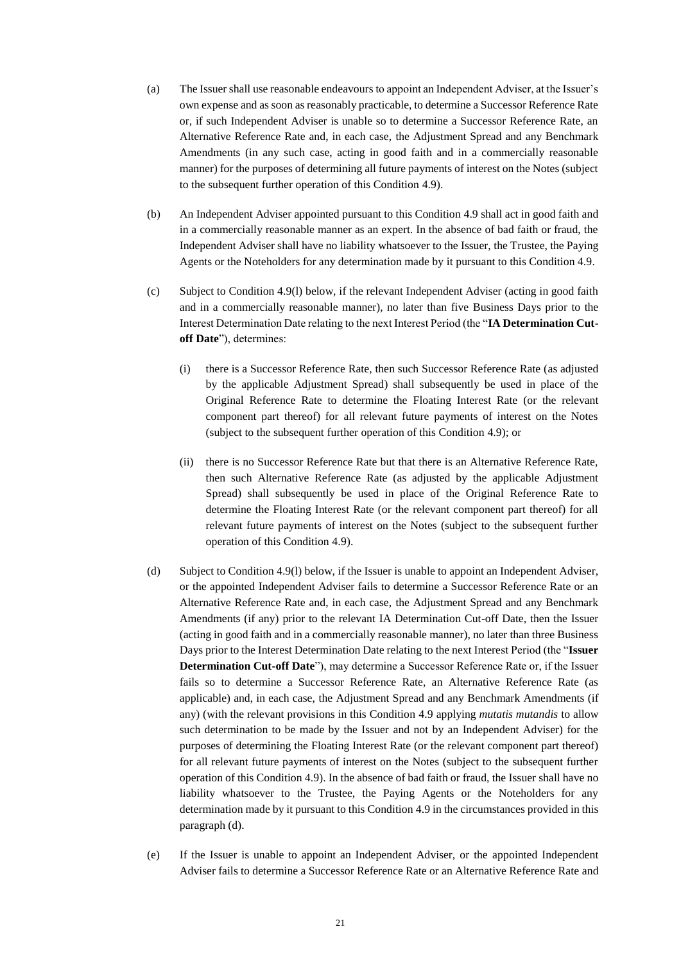- (a) The Issuer shall use reasonable endeavours to appoint an Independent Adviser, at the Issuer's own expense and as soon as reasonably practicable, to determine a Successor Reference Rate or, if such Independent Adviser is unable so to determine a Successor Reference Rate, an Alternative Reference Rate and, in each case, the Adjustment Spread and any Benchmark Amendments (in any such case, acting in good faith and in a commercially reasonable manner) for the purposes of determining all future payments of interest on the Notes (subject to the subsequent further operation of this Condition 4.9).
- (b) An Independent Adviser appointed pursuant to this Condition 4.9 shall act in good faith and in a commercially reasonable manner as an expert. In the absence of bad faith or fraud, the Independent Adviser shall have no liability whatsoever to the Issuer, the Trustee, the Paying Agents or the Noteholders for any determination made by it pursuant to this Condition 4.9.
- (c) Subject to Condition 4.9(l) below, if the relevant Independent Adviser (acting in good faith and in a commercially reasonable manner), no later than five Business Days prior to the Interest Determination Date relating to the next Interest Period (the "**IA Determination Cutoff Date**"), determines:
	- (i) there is a Successor Reference Rate, then such Successor Reference Rate (as adjusted by the applicable Adjustment Spread) shall subsequently be used in place of the Original Reference Rate to determine the Floating Interest Rate (or the relevant component part thereof) for all relevant future payments of interest on the Notes (subject to the subsequent further operation of this Condition 4.9); or
	- (ii) there is no Successor Reference Rate but that there is an Alternative Reference Rate, then such Alternative Reference Rate (as adjusted by the applicable Adjustment Spread) shall subsequently be used in place of the Original Reference Rate to determine the Floating Interest Rate (or the relevant component part thereof) for all relevant future payments of interest on the Notes (subject to the subsequent further operation of this Condition 4.9).
- (d) Subject to Condition 4.9(l) below, if the Issuer is unable to appoint an Independent Adviser, or the appointed Independent Adviser fails to determine a Successor Reference Rate or an Alternative Reference Rate and, in each case, the Adjustment Spread and any Benchmark Amendments (if any) prior to the relevant IA Determination Cut-off Date, then the Issuer (acting in good faith and in a commercially reasonable manner), no later than three Business Days prior to the Interest Determination Date relating to the next Interest Period (the "**Issuer Determination Cut-off Date**"), may determine a Successor Reference Rate or, if the Issuer fails so to determine a Successor Reference Rate, an Alternative Reference Rate (as applicable) and, in each case, the Adjustment Spread and any Benchmark Amendments (if any) (with the relevant provisions in this Condition 4.9 applying *mutatis mutandis* to allow such determination to be made by the Issuer and not by an Independent Adviser) for the purposes of determining the Floating Interest Rate (or the relevant component part thereof) for all relevant future payments of interest on the Notes (subject to the subsequent further operation of this Condition 4.9). In the absence of bad faith or fraud, the Issuer shall have no liability whatsoever to the Trustee, the Paying Agents or the Noteholders for any determination made by it pursuant to this Condition 4.9 in the circumstances provided in this paragraph (d).
- (e) If the Issuer is unable to appoint an Independent Adviser, or the appointed Independent Adviser fails to determine a Successor Reference Rate or an Alternative Reference Rate and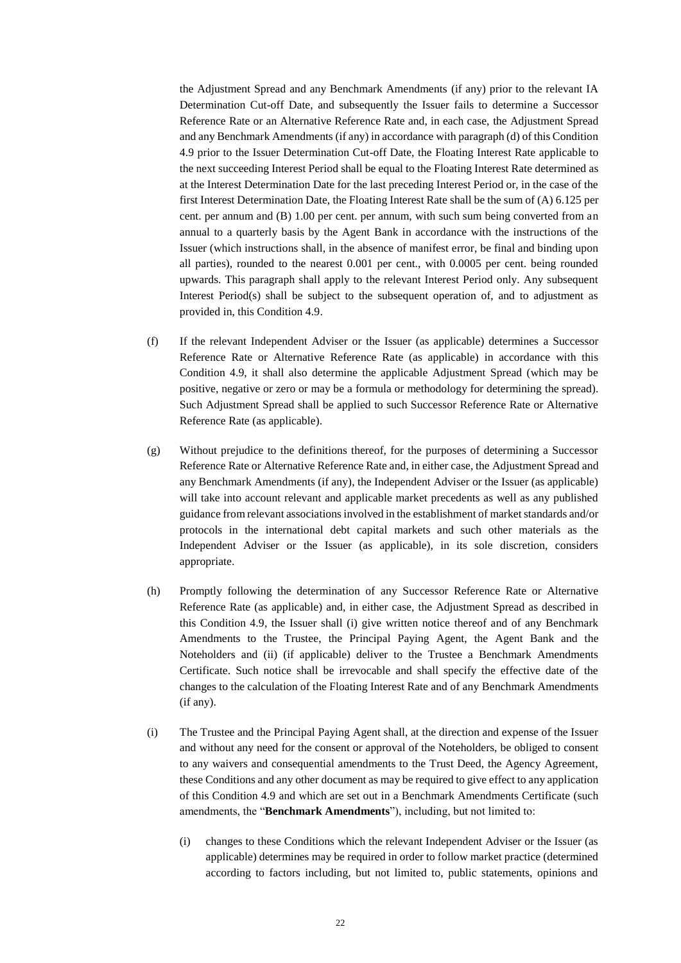the Adjustment Spread and any Benchmark Amendments (if any) prior to the relevant IA Determination Cut-off Date, and subsequently the Issuer fails to determine a Successor Reference Rate or an Alternative Reference Rate and, in each case, the Adjustment Spread and any Benchmark Amendments (if any) in accordance with paragraph (d) of this Condition 4.9 prior to the Issuer Determination Cut-off Date, the Floating Interest Rate applicable to the next succeeding Interest Period shall be equal to the Floating Interest Rate determined as at the Interest Determination Date for the last preceding Interest Period or, in the case of the first Interest Determination Date, the Floating Interest Rate shall be the sum of (A) 6.125 per cent. per annum and (B) 1.00 per cent. per annum, with such sum being converted from an annual to a quarterly basis by the Agent Bank in accordance with the instructions of the Issuer (which instructions shall, in the absence of manifest error, be final and binding upon all parties), rounded to the nearest 0.001 per cent., with 0.0005 per cent. being rounded upwards. This paragraph shall apply to the relevant Interest Period only. Any subsequent Interest Period(s) shall be subject to the subsequent operation of, and to adjustment as provided in, this Condition 4.9.

- (f) If the relevant Independent Adviser or the Issuer (as applicable) determines a Successor Reference Rate or Alternative Reference Rate (as applicable) in accordance with this Condition 4.9, it shall also determine the applicable Adjustment Spread (which may be positive, negative or zero or may be a formula or methodology for determining the spread). Such Adjustment Spread shall be applied to such Successor Reference Rate or Alternative Reference Rate (as applicable).
- (g) Without prejudice to the definitions thereof, for the purposes of determining a Successor Reference Rate or Alternative Reference Rate and, in either case, the Adjustment Spread and any Benchmark Amendments (if any), the Independent Adviser or the Issuer (as applicable) will take into account relevant and applicable market precedents as well as any published guidance from relevant associations involved in the establishment of market standards and/or protocols in the international debt capital markets and such other materials as the Independent Adviser or the Issuer (as applicable), in its sole discretion, considers appropriate.
- (h) Promptly following the determination of any Successor Reference Rate or Alternative Reference Rate (as applicable) and, in either case, the Adjustment Spread as described in this Condition 4.9, the Issuer shall (i) give written notice thereof and of any Benchmark Amendments to the Trustee, the Principal Paying Agent, the Agent Bank and the Noteholders and (ii) (if applicable) deliver to the Trustee a Benchmark Amendments Certificate. Such notice shall be irrevocable and shall specify the effective date of the changes to the calculation of the Floating Interest Rate and of any Benchmark Amendments (if any).
- (i) The Trustee and the Principal Paying Agent shall, at the direction and expense of the Issuer and without any need for the consent or approval of the Noteholders, be obliged to consent to any waivers and consequential amendments to the Trust Deed, the Agency Agreement, these Conditions and any other document as may be required to give effect to any application of this Condition 4.9 and which are set out in a Benchmark Amendments Certificate (such amendments, the "**Benchmark Amendments**"), including, but not limited to:
	- (i) changes to these Conditions which the relevant Independent Adviser or the Issuer (as applicable) determines may be required in order to follow market practice (determined according to factors including, but not limited to, public statements, opinions and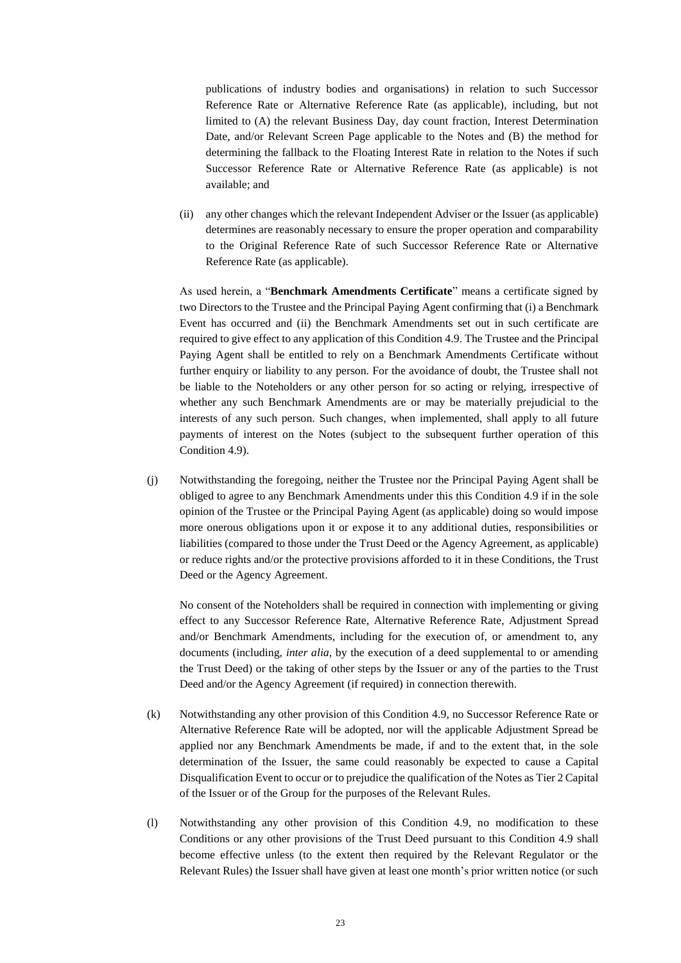publications of industry bodies and organisations) in relation to such Successor Reference Rate or Alternative Reference Rate (as applicable), including, but not limited to (A) the relevant Business Day, day count fraction, Interest Determination Date, and/or Relevant Screen Page applicable to the Notes and (B) the method for determining the fallback to the Floating Interest Rate in relation to the Notes if such Successor Reference Rate or Alternative Reference Rate (as applicable) is not available; and

(ii) any other changes which the relevant Independent Adviser or the Issuer (as applicable) determines are reasonably necessary to ensure the proper operation and comparability to the Original Reference Rate of such Successor Reference Rate or Alternative Reference Rate (as applicable).

As used herein, a "**Benchmark Amendments Certificate**" means a certificate signed by two Directors to the Trustee and the Principal Paying Agent confirming that (i) a Benchmark Event has occurred and (ii) the Benchmark Amendments set out in such certificate are required to give effect to any application of this Condition 4.9. The Trustee and the Principal Paying Agent shall be entitled to rely on a Benchmark Amendments Certificate without further enquiry or liability to any person. For the avoidance of doubt, the Trustee shall not be liable to the Noteholders or any other person for so acting or relying, irrespective of whether any such Benchmark Amendments are or may be materially prejudicial to the interests of any such person. Such changes, when implemented, shall apply to all future payments of interest on the Notes (subject to the subsequent further operation of this Condition 4.9).

(j) Notwithstanding the foregoing, neither the Trustee nor the Principal Paying Agent shall be obliged to agree to any Benchmark Amendments under this this Condition 4.9 if in the sole opinion of the Trustee or the Principal Paying Agent (as applicable) doing so would impose more onerous obligations upon it or expose it to any additional duties, responsibilities or liabilities (compared to those under the Trust Deed or the Agency Agreement, as applicable) or reduce rights and/or the protective provisions afforded to it in these Conditions, the Trust Deed or the Agency Agreement.

No consent of the Noteholders shall be required in connection with implementing or giving effect to any Successor Reference Rate, Alternative Reference Rate, Adjustment Spread and/or Benchmark Amendments, including for the execution of, or amendment to, any documents (including, *inter alia*, by the execution of a deed supplemental to or amending the Trust Deed) or the taking of other steps by the Issuer or any of the parties to the Trust Deed and/or the Agency Agreement (if required) in connection therewith.

- (k) Notwithstanding any other provision of this Condition 4.9, no Successor Reference Rate or Alternative Reference Rate will be adopted, nor will the applicable Adjustment Spread be applied nor any Benchmark Amendments be made, if and to the extent that, in the sole determination of the Issuer, the same could reasonably be expected to cause a Capital Disqualification Event to occur or to prejudice the qualification of the Notes as Tier 2 Capital of the Issuer or of the Group for the purposes of the Relevant Rules.
- (l) Notwithstanding any other provision of this Condition 4.9, no modification to these Conditions or any other provisions of the Trust Deed pursuant to this Condition 4.9 shall become effective unless (to the extent then required by the Relevant Regulator or the Relevant Rules) the Issuer shall have given at least one month's prior written notice (or such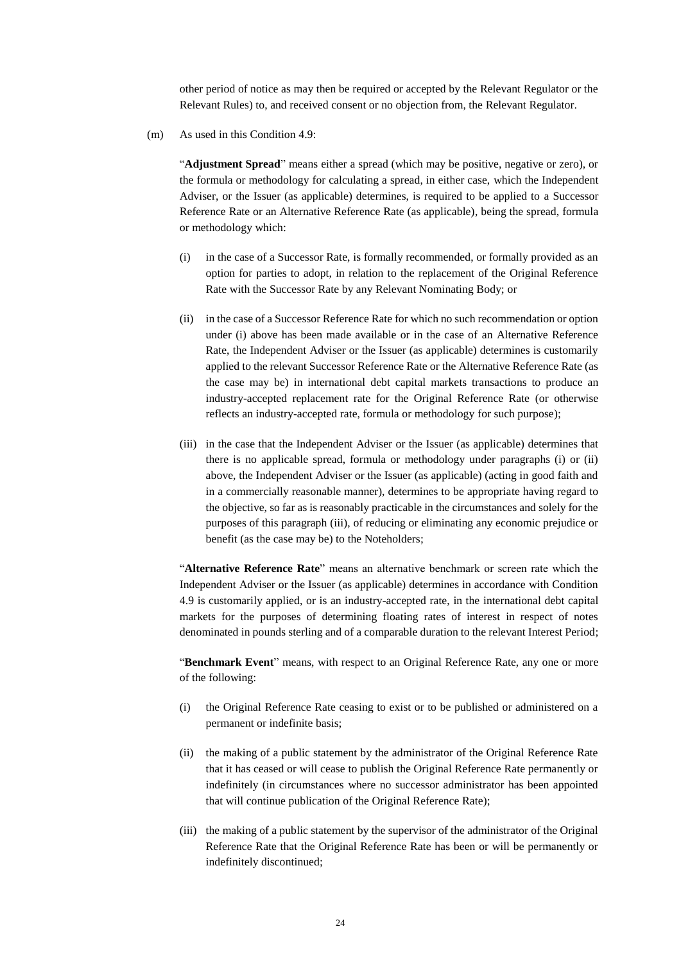other period of notice as may then be required or accepted by the Relevant Regulator or the Relevant Rules) to, and received consent or no objection from, the Relevant Regulator.

(m) As used in this Condition 4.9:

"**Adjustment Spread**" means either a spread (which may be positive, negative or zero), or the formula or methodology for calculating a spread, in either case, which the Independent Adviser, or the Issuer (as applicable) determines, is required to be applied to a Successor Reference Rate or an Alternative Reference Rate (as applicable), being the spread, formula or methodology which:

- (i) in the case of a Successor Rate, is formally recommended, or formally provided as an option for parties to adopt, in relation to the replacement of the Original Reference Rate with the Successor Rate by any Relevant Nominating Body; or
- (ii) in the case of a Successor Reference Rate for which no such recommendation or option under (i) above has been made available or in the case of an Alternative Reference Rate, the Independent Adviser or the Issuer (as applicable) determines is customarily applied to the relevant Successor Reference Rate or the Alternative Reference Rate (as the case may be) in international debt capital markets transactions to produce an industry-accepted replacement rate for the Original Reference Rate (or otherwise reflects an industry-accepted rate, formula or methodology for such purpose);
- (iii) in the case that the Independent Adviser or the Issuer (as applicable) determines that there is no applicable spread, formula or methodology under paragraphs (i) or (ii) above, the Independent Adviser or the Issuer (as applicable) (acting in good faith and in a commercially reasonable manner), determines to be appropriate having regard to the objective, so far as is reasonably practicable in the circumstances and solely for the purposes of this paragraph (iii), of reducing or eliminating any economic prejudice or benefit (as the case may be) to the Noteholders;

"**Alternative Reference Rate**" means an alternative benchmark or screen rate which the Independent Adviser or the Issuer (as applicable) determines in accordance with Condition 4.9 is customarily applied, or is an industry-accepted rate, in the international debt capital markets for the purposes of determining floating rates of interest in respect of notes denominated in pounds sterling and of a comparable duration to the relevant Interest Period;

"**Benchmark Event**" means, with respect to an Original Reference Rate, any one or more of the following:

- (i) the Original Reference Rate ceasing to exist or to be published or administered on a permanent or indefinite basis;
- (ii) the making of a public statement by the administrator of the Original Reference Rate that it has ceased or will cease to publish the Original Reference Rate permanently or indefinitely (in circumstances where no successor administrator has been appointed that will continue publication of the Original Reference Rate);
- (iii) the making of a public statement by the supervisor of the administrator of the Original Reference Rate that the Original Reference Rate has been or will be permanently or indefinitely discontinued;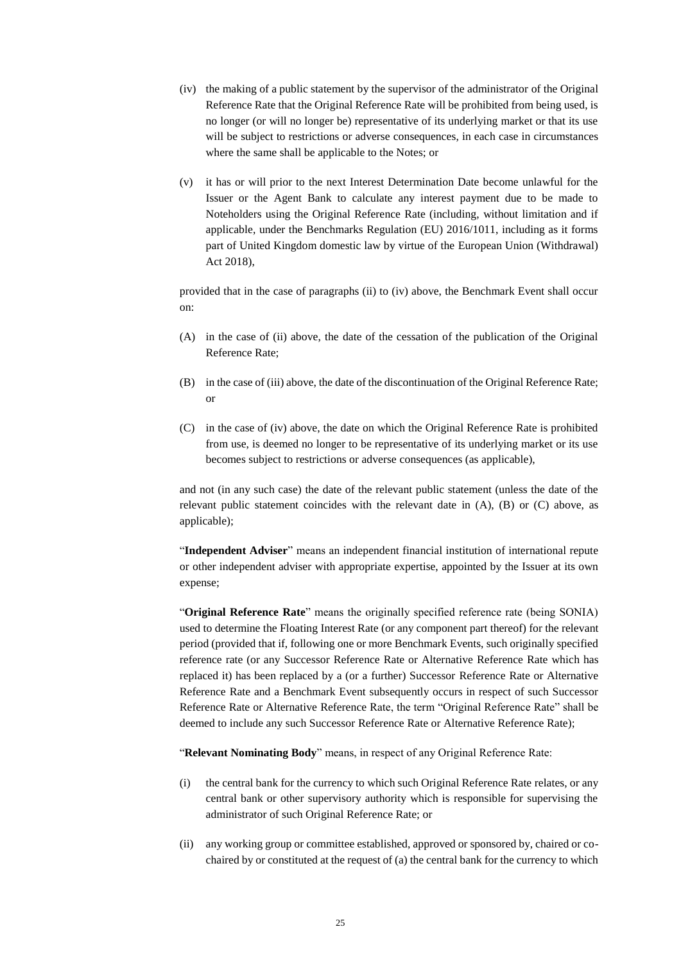- (iv) the making of a public statement by the supervisor of the administrator of the Original Reference Rate that the Original Reference Rate will be prohibited from being used, is no longer (or will no longer be) representative of its underlying market or that its use will be subject to restrictions or adverse consequences, in each case in circumstances where the same shall be applicable to the Notes; or
- (v) it has or will prior to the next Interest Determination Date become unlawful for the Issuer or the Agent Bank to calculate any interest payment due to be made to Noteholders using the Original Reference Rate (including, without limitation and if applicable, under the Benchmarks Regulation (EU) 2016/1011, including as it forms part of United Kingdom domestic law by virtue of the European Union (Withdrawal) Act 2018),

provided that in the case of paragraphs (ii) to (iv) above, the Benchmark Event shall occur on:

- (A) in the case of (ii) above, the date of the cessation of the publication of the Original Reference Rate;
- (B) in the case of (iii) above, the date of the discontinuation of the Original Reference Rate; or
- (C) in the case of (iv) above, the date on which the Original Reference Rate is prohibited from use, is deemed no longer to be representative of its underlying market or its use becomes subject to restrictions or adverse consequences (as applicable),

and not (in any such case) the date of the relevant public statement (unless the date of the relevant public statement coincides with the relevant date in (A), (B) or (C) above, as applicable);

"**Independent Adviser**" means an independent financial institution of international repute or other independent adviser with appropriate expertise, appointed by the Issuer at its own expense;

"**Original Reference Rate**" means the originally specified reference rate (being SONIA) used to determine the Floating Interest Rate (or any component part thereof) for the relevant period (provided that if, following one or more Benchmark Events, such originally specified reference rate (or any Successor Reference Rate or Alternative Reference Rate which has replaced it) has been replaced by a (or a further) Successor Reference Rate or Alternative Reference Rate and a Benchmark Event subsequently occurs in respect of such Successor Reference Rate or Alternative Reference Rate, the term "Original Reference Rate" shall be deemed to include any such Successor Reference Rate or Alternative Reference Rate);

"**Relevant Nominating Body**" means, in respect of any Original Reference Rate:

- (i) the central bank for the currency to which such Original Reference Rate relates, or any central bank or other supervisory authority which is responsible for supervising the administrator of such Original Reference Rate; or
- (ii) any working group or committee established, approved or sponsored by, chaired or cochaired by or constituted at the request of (a) the central bank for the currency to which